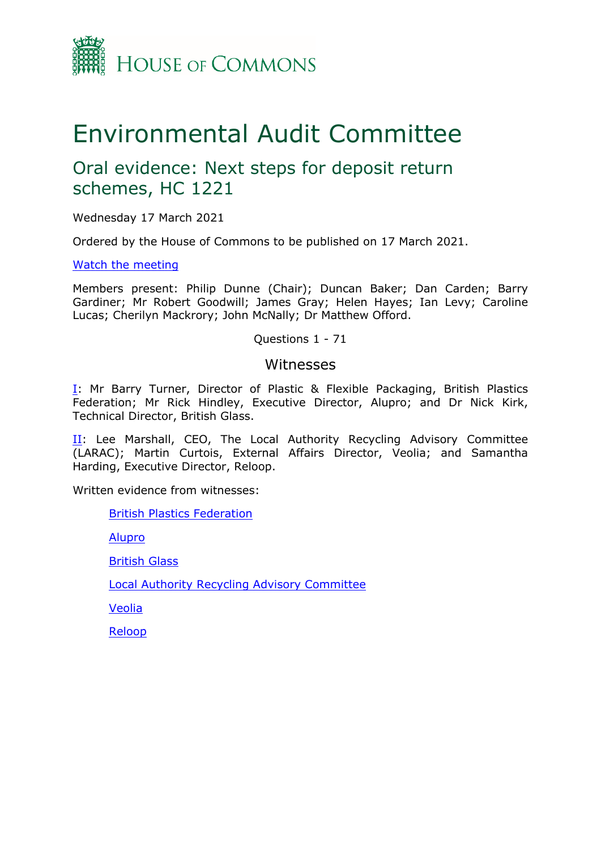

# Environmental Audit Committee

## Oral evidence: Next steps for deposit return schemes, HC 1221

Wednesday 17 March 2021

Ordered by the House of Commons to be published on 17 March 2021.

[Watch](https://parliamentlive.tv/Event/Index/c86f047e-c737-426d-b520-dc211e52ba7b) [the](https://parliamentlive.tv/Event/Index/c86f047e-c737-426d-b520-dc211e52ba7b) [meeting](https://parliamentlive.tv/Event/Index/c86f047e-c737-426d-b520-dc211e52ba7b)

Members present: Philip Dunne (Chair); Duncan Baker; Dan Carden; Barry Gardiner; Mr Robert Goodwill; James Gray; Helen Hayes; Ian Levy; Caroline Lucas; Cherilyn Mackrory; John McNally; Dr Matthew Offord.

Questions 1 - 71

### Witnesses

[I:](#page-1-0) Mr Barry Turner, Director of Plastic & Flexible Packaging, British Plastics Federation; Mr Rick Hindley, Executive Director, Alupro; and Dr Nick Kirk, Technical Director, British Glass.

[II](#page-20-0): Lee Marshall, CEO, The Local Authority Recycling Advisory Committee (LARAC); Martin Curtois, External Affairs Director, Veolia; and Samantha Harding, Executive Director, Reloop.

Written evidence from witnesses:

[British](https://committees.parliament.uk/writtenevidence/23423/pdf/) [Plastics](https://committees.parliament.uk/writtenevidence/23423/pdf/) [Federation](https://committees.parliament.uk/writtenevidence/23423/pdf/)

[Alupro](https://committees.parliament.uk/writtenevidence/23475/pdf/)

[British](https://committees.parliament.uk/writtenevidence/23466/pdf/) [Glass](https://committees.parliament.uk/writtenevidence/23466/pdf/)

[Local](https://committees.parliament.uk/writtenevidence/23443/pdf/) [Authority](https://committees.parliament.uk/writtenevidence/23443/pdf/) [Recycling](https://committees.parliament.uk/writtenevidence/23443/pdf/) [Advisory](https://committees.parliament.uk/writtenevidence/23443/pdf/) [Committee](https://committees.parliament.uk/writtenevidence/23443/pdf/)

[Veolia](https://committees.parliament.uk/writtenevidence/23476/pdf/)

[Reloop](https://committees.parliament.uk/writtenevidence/23498/pdf/)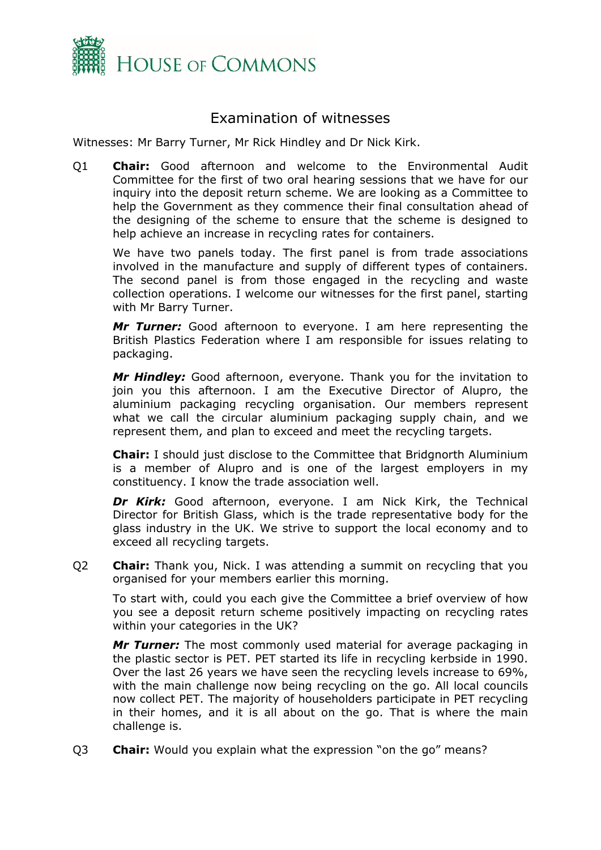

## <span id="page-1-0"></span>Examination of witnesses

Witnesses: Mr Barry Turner, Mr Rick Hindley and Dr Nick Kirk.

Q1 **Chair:** Good afternoon and welcome to the Environmental Audit Committee for the first of two oral hearing sessions that we have for our inquiry into the deposit return scheme. We are looking as a Committee to help the Government as they commence their final consultation ahead of the designing of the scheme to ensure that the scheme is designed to help achieve an increase in recycling rates for containers.

We have two panels today. The first panel is from trade associations involved in the manufacture and supply of different types of containers. The second panel is from those engaged in the recycling and waste collection operations. I welcome our witnesses for the first panel, starting with Mr Barry Turner.

*Mr Turner:* Good afternoon to everyone. I am here representing the British Plastics Federation where I am responsible for issues relating to packaging.

*Mr Hindley:* Good afternoon, everyone. Thank you for the invitation to join you this afternoon. I am the Executive Director of Alupro, the aluminium packaging recycling organisation. Our members represent what we call the circular aluminium packaging supply chain, and we represent them, and plan to exceed and meet the recycling targets.

**Chair:** I should just disclose to the Committee that Bridgnorth Aluminium is a member of Alupro and is one of the largest employers in my constituency. I know the trade association well.

*Dr Kirk:* Good afternoon, everyone. I am Nick Kirk, the Technical Director for British Glass, which is the trade representative body for the glass industry in the UK. We strive to support the local economy and to exceed all recycling targets.

Q2 **Chair:** Thank you, Nick. I was attending a summit on recycling that you organised for your members earlier this morning.

To start with, could you each give the Committee a brief overview of how you see a deposit return scheme positively impacting on recycling rates within your categories in the UK?

*Mr Turner:* The most commonly used material for average packaging in the plastic sector is PET. PET started its life in recycling kerbside in 1990. Over the last 26 years we have seen the recycling levels increase to 69%, with the main challenge now being recycling on the go. All local councils now collect PET. The majority of householders participate in PET recycling in their homes, and it is all about on the go. That is where the main challenge is.

Q3 **Chair:** Would you explain what the expression "on the go" means?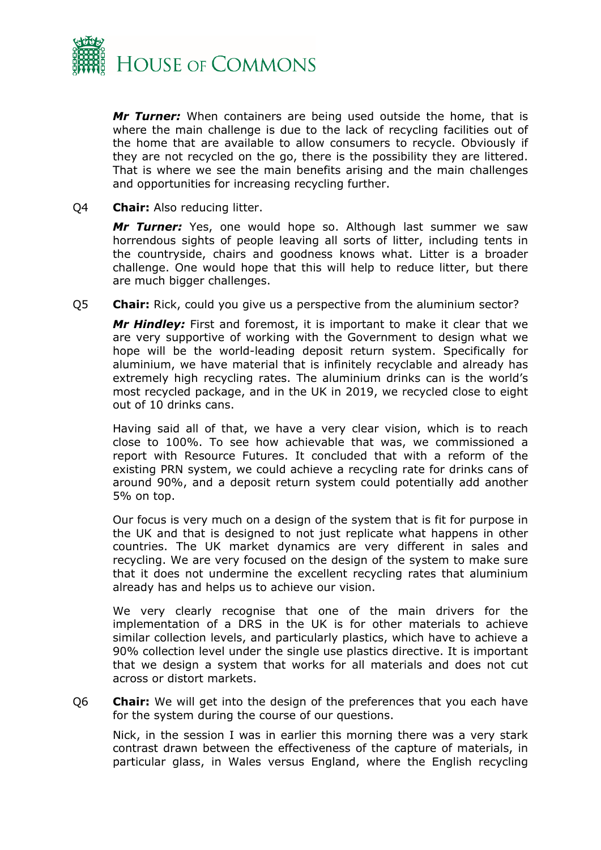

*Mr Turner:* When containers are being used outside the home, that is where the main challenge is due to the lack of recycling facilities out of the home that are available to allow consumers to recycle. Obviously if they are not recycled on the go, there is the possibility they are littered. That is where we see the main benefits arising and the main challenges and opportunities for increasing recycling further.

#### Q4 **Chair:** Also reducing litter.

*Mr Turner:* Yes, one would hope so. Although last summer we saw horrendous sights of people leaving all sorts of litter, including tents in the countryside, chairs and goodness knows what. Litter is a broader challenge. One would hope that this will help to reduce litter, but there are much bigger challenges.

#### Q5 **Chair:** Rick, could you give us a perspective from the aluminium sector?

*Mr Hindley:* First and foremost, it is important to make it clear that we are very supportive of working with the Government to design what we hope will be the world-leading deposit return system. Specifically for aluminium, we have material that is infinitely recyclable and already has extremely high recycling rates. The aluminium drinks can is the world's most recycled package, and in the UK in 2019, we recycled close to eight out of 10 drinks cans.

Having said all of that, we have a very clear vision, which is to reach close to 100%. To see how achievable that was, we commissioned a report with Resource Futures. It concluded that with a reform of the existing PRN system, we could achieve a recycling rate for drinks cans of around 90%, and a deposit return system could potentially add another 5% on top.

Our focus is very much on a design of the system that is fit for purpose in the UK and that is designed to not just replicate what happens in other countries. The UK market dynamics are very different in sales and recycling. We are very focused on the design of the system to make sure that it does not undermine the excellent recycling rates that aluminium already has and helps us to achieve our vision.

We very clearly recognise that one of the main drivers for the implementation of a DRS in the UK is for other materials to achieve similar collection levels, and particularly plastics, which have to achieve a 90% collection level under the single use plastics directive. It is important that we design a system that works for all materials and does not cut across or distort markets.

Q6 **Chair:** We will get into the design of the preferences that you each have for the system during the course of our questions.

Nick, in the session I was in earlier this morning there was a very stark contrast drawn between the effectiveness of the capture of materials, in particular glass, in Wales versus England, where the English recycling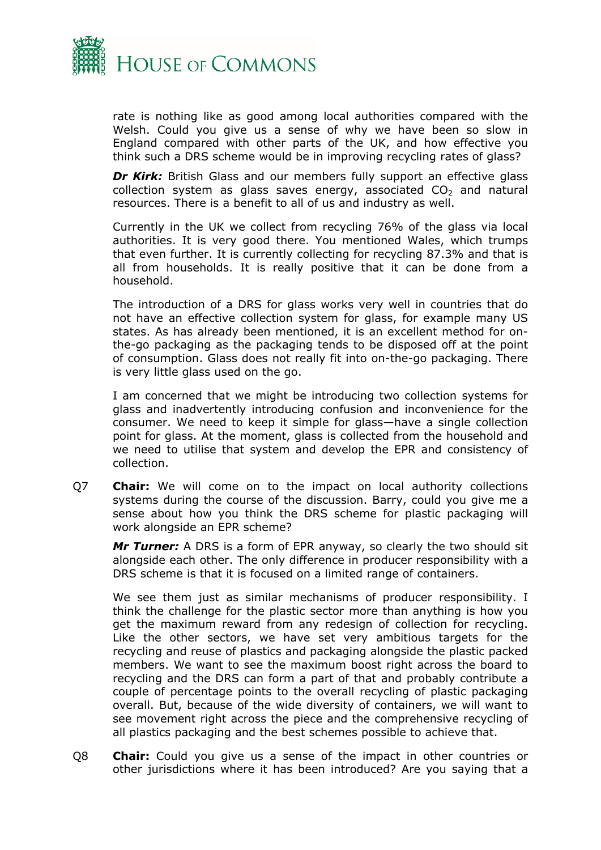

rate is nothing like as good among local authorities compared with the Welsh. Could you give us a sense of why we have been so slow in England compared with other parts of the UK, and how effective you think such a DRS scheme would be in improving recycling rates of glass?

**Dr Kirk:** British Glass and our members fully support an effective glass collection system as glass saves energy, associated  $CO<sub>2</sub>$  and natural resources. There is a benefit to all of us and industry as well.

Currently in the UK we collect from recycling 76% of the glass via local authorities. It is very good there. You mentioned Wales, which trumps that even further. It is currently collecting for recycling 87.3% and that is all from households. It is really positive that it can be done from a household.

The introduction of a DRS for glass works very well in countries that do not have an effective collection system for glass, for example many US states. As has already been mentioned, it is an excellent method for onthe-go packaging as the packaging tends to be disposed off at the point of consumption. Glass does not really fit into on-the-go packaging. There is very little glass used on the go.

I am concerned that we might be introducing two collection systems for glass and inadvertently introducing confusion and inconvenience for the consumer. We need to keep it simple for glass—have a single collection point for glass. At the moment, glass is collected from the household and we need to utilise that system and develop the EPR and consistency of collection.

Q7 **Chair:** We will come on to the impact on local authority collections systems during the course of the discussion. Barry, could you give me a sense about how you think the DRS scheme for plastic packaging will work alongside an EPR scheme?

*Mr Turner:* A DRS is a form of EPR anyway, so clearly the two should sit alongside each other. The only difference in producer responsibility with a DRS scheme is that it is focused on a limited range of containers.

We see them just as similar mechanisms of producer responsibility. I think the challenge for the plastic sector more than anything is how you get the maximum reward from any redesign of collection for recycling. Like the other sectors, we have set very ambitious targets for the recycling and reuse of plastics and packaging alongside the plastic packed members. We want to see the maximum boost right across the board to recycling and the DRS can form a part of that and probably contribute a couple of percentage points to the overall recycling of plastic packaging overall. But, because of the wide diversity of containers, we will want to see movement right across the piece and the comprehensive recycling of all plastics packaging and the best schemes possible to achieve that.

Q8 **Chair:** Could you give us a sense of the impact in other countries or other jurisdictions where it has been introduced? Are you saying that a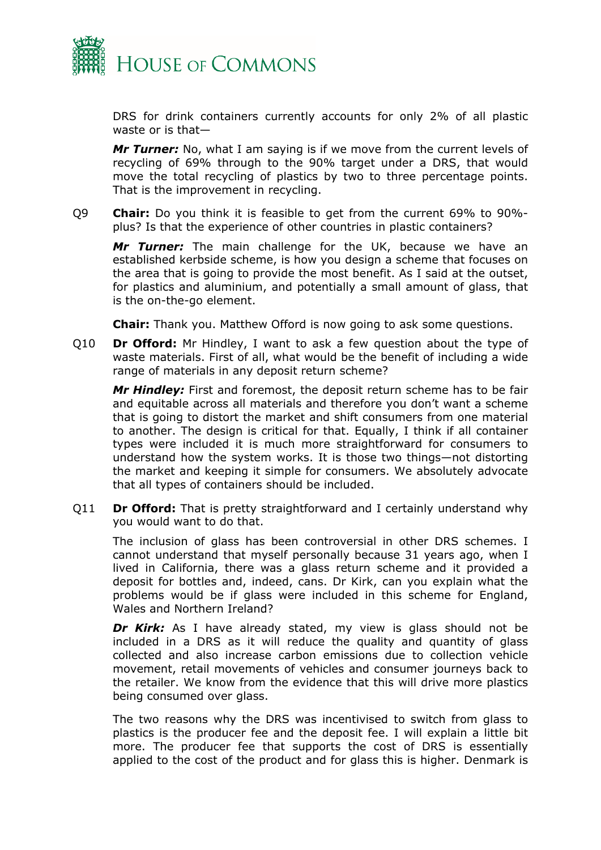

DRS for drink containers currently accounts for only 2% of all plastic waste or is that—

*Mr Turner:* No, what I am saying is if we move from the current levels of recycling of 69% through to the 90% target under a DRS, that would move the total recycling of plastics by two to three percentage points. That is the improvement in recycling.

Q9 **Chair:** Do you think it is feasible to get from the current 69% to 90% plus? Is that the experience of other countries in plastic containers?

*Mr Turner:* The main challenge for the UK, because we have an established kerbside scheme, is how you design a scheme that focuses on the area that is going to provide the most benefit. As I said at the outset, for plastics and aluminium, and potentially a small amount of glass, that is the on-the-go element.

**Chair:** Thank you. Matthew Offord is now going to ask some questions.

Q10 **Dr Offord:** Mr Hindley, I want to ask a few question about the type of waste materials. First of all, what would be the benefit of including a wide range of materials in any deposit return scheme?

*Mr Hindley:* First and foremost, the deposit return scheme has to be fair and equitable across all materials and therefore you don't want a scheme that is going to distort the market and shift consumers from one material to another. The design is critical for that. Equally, I think if all container types were included it is much more straightforward for consumers to understand how the system works. It is those two things—not distorting the market and keeping it simple for consumers. We absolutely advocate that all types of containers should be included.

Q11 **Dr Offord:** That is pretty straightforward and I certainly understand why you would want to do that.

The inclusion of glass has been controversial in other DRS schemes. I cannot understand that myself personally because 31 years ago, when I lived in California, there was a glass return scheme and it provided a deposit for bottles and, indeed, cans. Dr Kirk, can you explain what the problems would be if glass were included in this scheme for England, Wales and Northern Ireland?

**Dr Kirk:** As I have already stated, my view is glass should not be included in a DRS as it will reduce the quality and quantity of glass collected and also increase carbon emissions due to collection vehicle movement, retail movements of vehicles and consumer journeys back to the retailer. We know from the evidence that this will drive more plastics being consumed over glass.

The two reasons why the DRS was incentivised to switch from glass to plastics is the producer fee and the deposit fee. I will explain a little bit more. The producer fee that supports the cost of DRS is essentially applied to the cost of the product and for glass this is higher. Denmark is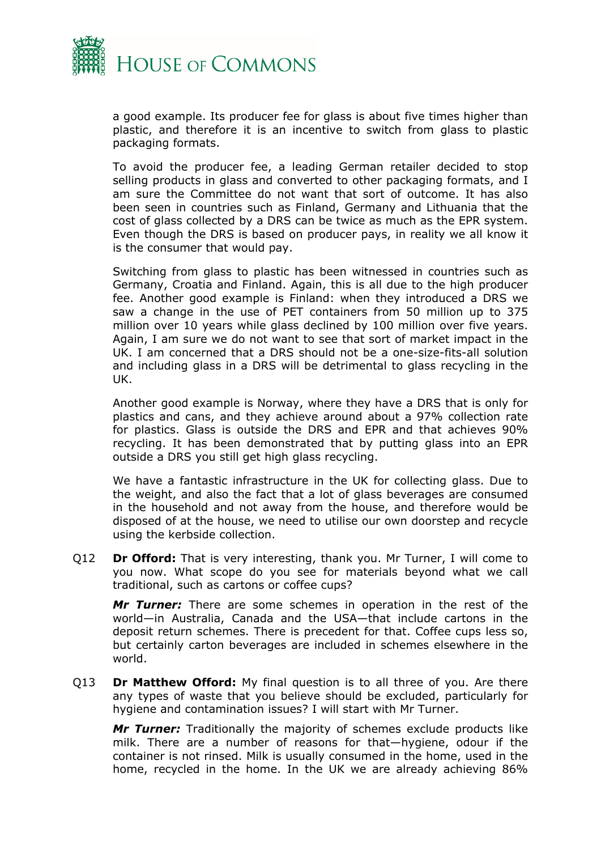

a good example. Its producer fee for glass is about five times higher than plastic, and therefore it is an incentive to switch from glass to plastic packaging formats.

To avoid the producer fee, a leading German retailer decided to stop selling products in glass and converted to other packaging formats, and I am sure the Committee do not want that sort of outcome. It has also been seen in countries such as Finland, Germany and Lithuania that the cost of glass collected by a DRS can be twice as much as the EPR system. Even though the DRS is based on producer pays, in reality we all know it is the consumer that would pay.

Switching from glass to plastic has been witnessed in countries such as Germany, Croatia and Finland. Again, this is all due to the high producer fee. Another good example is Finland: when they introduced a DRS we saw a change in the use of PET containers from 50 million up to 375 million over 10 years while glass declined by 100 million over five years. Again, I am sure we do not want to see that sort of market impact in the UK. I am concerned that a DRS should not be a one-size-fits-all solution and including glass in a DRS will be detrimental to glass recycling in the UK.

Another good example is Norway, where they have a DRS that is only for plastics and cans, and they achieve around about a 97% collection rate for plastics. Glass is outside the DRS and EPR and that achieves 90% recycling. It has been demonstrated that by putting glass into an EPR outside a DRS you still get high glass recycling.

We have a fantastic infrastructure in the UK for collecting glass. Due to the weight, and also the fact that a lot of glass beverages are consumed in the household and not away from the house, and therefore would be disposed of at the house, we need to utilise our own doorstep and recycle using the kerbside collection.

Q12 **Dr Offord:** That is very interesting, thank you. Mr Turner, I will come to you now. What scope do you see for materials beyond what we call traditional, such as cartons or coffee cups?

*Mr Turner:* There are some schemes in operation in the rest of the world—in Australia, Canada and the USA—that include cartons in the deposit return schemes. There is precedent for that. Coffee cups less so, but certainly carton beverages are included in schemes elsewhere in the world.

Q13 **Dr Matthew Offord:** My final question is to all three of you. Are there any types of waste that you believe should be excluded, particularly for hygiene and contamination issues? I will start with Mr Turner.

*Mr Turner:* Traditionally the majority of schemes exclude products like milk. There are a number of reasons for that—hygiene, odour if the container is not rinsed. Milk is usually consumed in the home, used in the home, recycled in the home. In the UK we are already achieving 86%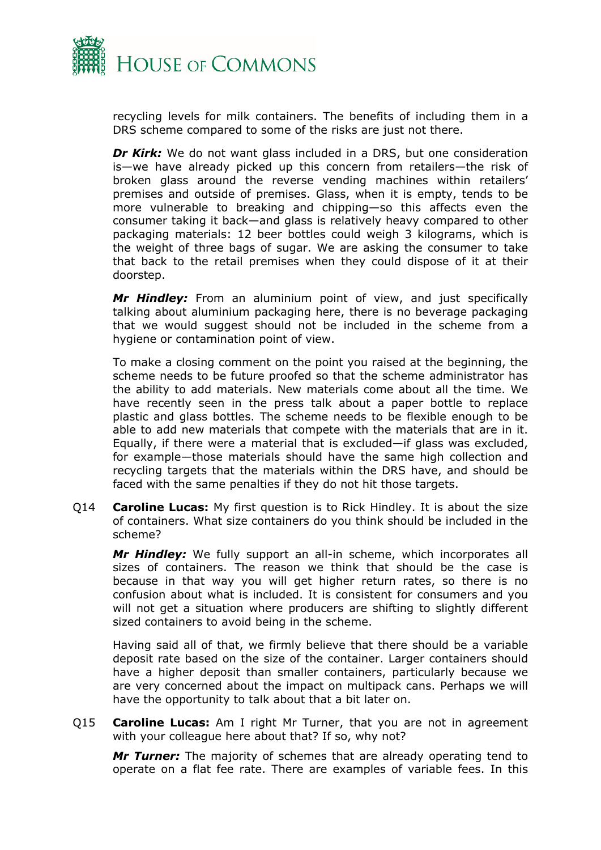

recycling levels for milk containers. The benefits of including them in a DRS scheme compared to some of the risks are just not there.

*Dr Kirk:* We do not want glass included in a DRS, but one consideration is—we have already picked up this concern from retailers—the risk of broken glass around the reverse vending machines within retailers' premises and outside of premises. Glass, when it is empty, tends to be more vulnerable to breaking and chipping—so this affects even the consumer taking it back—and glass is relatively heavy compared to other packaging materials: 12 beer bottles could weigh 3 kilograms, which is the weight of three bags of sugar. We are asking the consumer to take that back to the retail premises when they could dispose of it at their doorstep.

*Mr Hindley:* From an aluminium point of view, and just specifically talking about aluminium packaging here, there is no beverage packaging that we would suggest should not be included in the scheme from a hygiene or contamination point of view.

To make a closing comment on the point you raised at the beginning, the scheme needs to be future proofed so that the scheme administrator has the ability to add materials. New materials come about all the time. We have recently seen in the press talk about a paper bottle to replace plastic and glass bottles. The scheme needs to be flexible enough to be able to add new materials that compete with the materials that are in it. Equally, if there were a material that is excluded—if glass was excluded, for example—those materials should have the same high collection and recycling targets that the materials within the DRS have, and should be faced with the same penalties if they do not hit those targets.

Q14 **Caroline Lucas:** My first question is to Rick Hindley. It is about the size of containers. What size containers do you think should be included in the scheme?

*Mr Hindley:* We fully support an all-in scheme, which incorporates all sizes of containers. The reason we think that should be the case is because in that way you will get higher return rates, so there is no confusion about what is included. It is consistent for consumers and you will not get a situation where producers are shifting to slightly different sized containers to avoid being in the scheme.

Having said all of that, we firmly believe that there should be a variable deposit rate based on the size of the container. Larger containers should have a higher deposit than smaller containers, particularly because we are very concerned about the impact on multipack cans. Perhaps we will have the opportunity to talk about that a bit later on.

Q15 **Caroline Lucas:** Am I right Mr Turner, that you are not in agreement with your colleague here about that? If so, why not?

*Mr Turner:* The majority of schemes that are already operating tend to operate on a flat fee rate. There are examples of variable fees. In this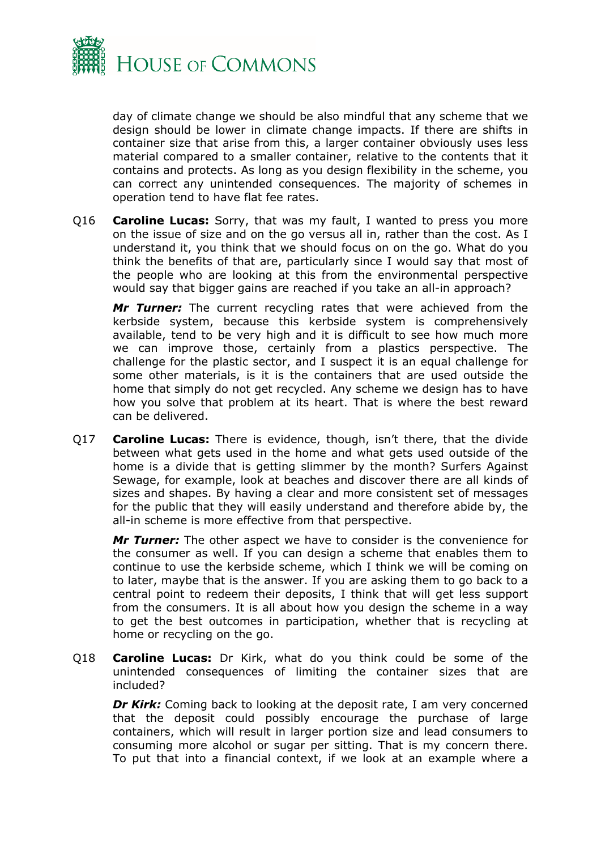

day of climate change we should be also mindful that any scheme that we design should be lower in climate change impacts. If there are shifts in container size that arise from this, a larger container obviously uses less material compared to a smaller container, relative to the contents that it contains and protects. As long as you design flexibility in the scheme, you can correct any unintended consequences. The majority of schemes in operation tend to have flat fee rates.

Q16 **Caroline Lucas:** Sorry, that was my fault, I wanted to press you more on the issue of size and on the go versus all in, rather than the cost. As I understand it, you think that we should focus on on the go. What do you think the benefits of that are, particularly since I would say that most of the people who are looking at this from the environmental perspective would say that bigger gains are reached if you take an all-in approach?

*Mr Turner:* The current recycling rates that were achieved from the kerbside system, because this kerbside system is comprehensively available, tend to be very high and it is difficult to see how much more we can improve those, certainly from a plastics perspective. The challenge for the plastic sector, and I suspect it is an equal challenge for some other materials, is it is the containers that are used outside the home that simply do not get recycled. Any scheme we design has to have how you solve that problem at its heart. That is where the best reward can be delivered.

Q17 **Caroline Lucas:** There is evidence, though, isn't there, that the divide between what gets used in the home and what gets used outside of the home is a divide that is getting slimmer by the month? Surfers Against Sewage, for example, look at beaches and discover there are all kinds of sizes and shapes. By having a clear and more consistent set of messages for the public that they will easily understand and therefore abide by, the all-in scheme is more effective from that perspective.

*Mr Turner:* The other aspect we have to consider is the convenience for the consumer as well. If you can design a scheme that enables them to continue to use the kerbside scheme, which I think we will be coming on to later, maybe that is the answer. If you are asking them to go back to a central point to redeem their deposits, I think that will get less support from the consumers. It is all about how you design the scheme in a way to get the best outcomes in participation, whether that is recycling at home or recycling on the go.

Q18 **Caroline Lucas:** Dr Kirk, what do you think could be some of the unintended consequences of limiting the container sizes that are included?

*Dr Kirk:* Coming back to looking at the deposit rate, I am very concerned that the deposit could possibly encourage the purchase of large containers, which will result in larger portion size and lead consumers to consuming more alcohol or sugar per sitting. That is my concern there. To put that into a financial context, if we look at an example where a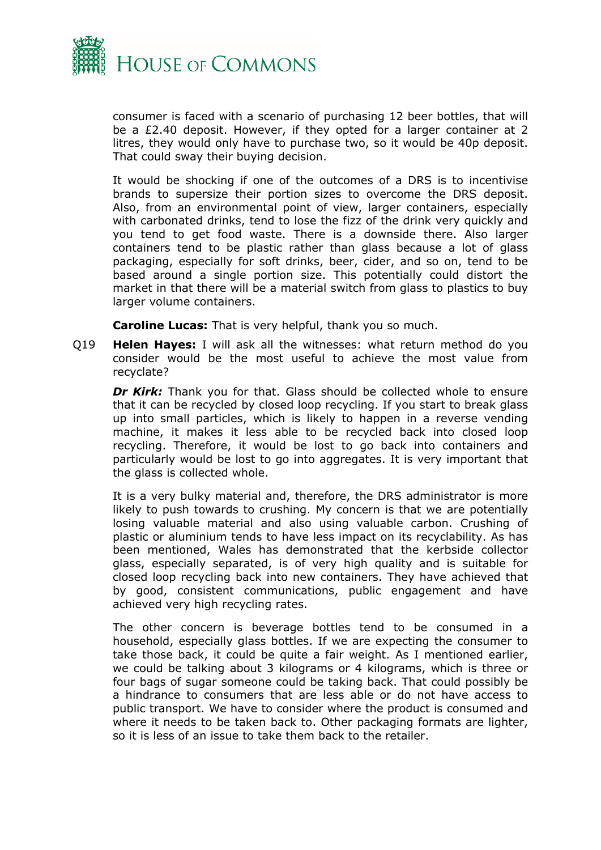

consumer is faced with a scenario of purchasing 12 beer bottles, that will be a £2.40 deposit. However, if they opted for a larger container at 2 litres, they would only have to purchase two, so it would be 40p deposit. That could sway their buying decision.

It would be shocking if one of the outcomes of a DRS is to incentivise brands to supersize their portion sizes to overcome the DRS deposit. Also, from an environmental point of view, larger containers, especially with carbonated drinks, tend to lose the fizz of the drink very quickly and you tend to get food waste. There is a downside there. Also larger containers tend to be plastic rather than glass because a lot of glass packaging, especially for soft drinks, beer, cider, and so on, tend to be based around a single portion size. This potentially could distort the market in that there will be a material switch from glass to plastics to buy larger volume containers.

**Caroline Lucas:** That is very helpful, thank you so much.

Q19 **Helen Hayes:** I will ask all the witnesses: what return method do you consider would be the most useful to achieve the most value from recyclate?

**Dr Kirk:** Thank you for that. Glass should be collected whole to ensure that it can be recycled by closed loop recycling. If you start to break glass up into small particles, which is likely to happen in a reverse vending machine, it makes it less able to be recycled back into closed loop recycling. Therefore, it would be lost to go back into containers and particularly would be lost to go into aggregates. It is very important that the glass is collected whole.

It is a very bulky material and, therefore, the DRS administrator is more likely to push towards to crushing. My concern is that we are potentially losing valuable material and also using valuable carbon. Crushing of plastic or aluminium tends to have less impact on its recyclability. As has been mentioned, Wales has demonstrated that the kerbside collector glass, especially separated, is of very high quality and is suitable for closed loop recycling back into new containers. They have achieved that by good, consistent communications, public engagement and have achieved very high recycling rates.

The other concern is beverage bottles tend to be consumed in a household, especially glass bottles. If we are expecting the consumer to take those back, it could be quite a fair weight. As I mentioned earlier, we could be talking about 3 kilograms or 4 kilograms, which is three or four bags of sugar someone could be taking back. That could possibly be a hindrance to consumers that are less able or do not have access to public transport. We have to consider where the product is consumed and where it needs to be taken back to. Other packaging formats are lighter, so it is less of an issue to take them back to the retailer.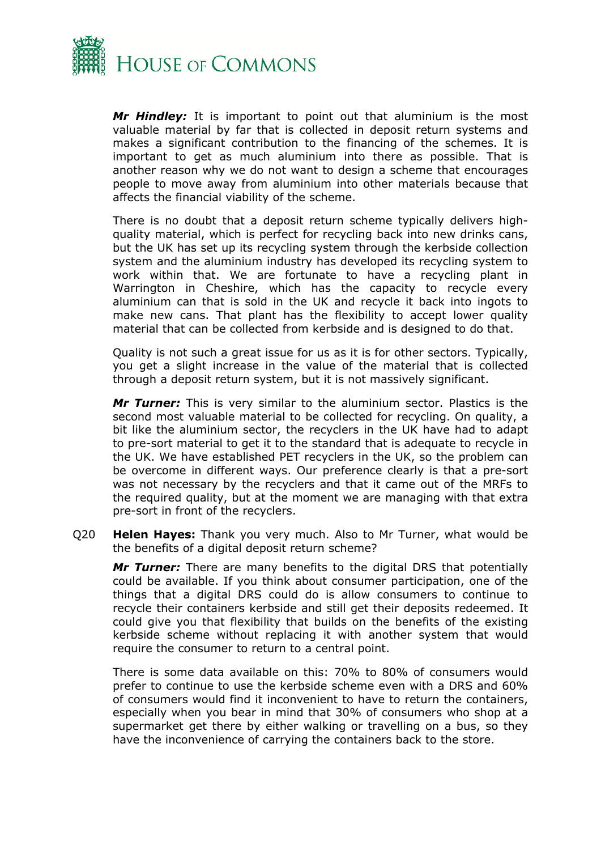

*Mr Hindley:* It is important to point out that aluminium is the most valuable material by far that is collected in deposit return systems and makes a significant contribution to the financing of the schemes. It is important to get as much aluminium into there as possible. That is another reason why we do not want to design a scheme that encourages people to move away from aluminium into other materials because that affects the financial viability of the scheme.

There is no doubt that a deposit return scheme typically delivers highquality material, which is perfect for recycling back into new drinks cans, but the UK has set up its recycling system through the kerbside collection system and the aluminium industry has developed its recycling system to work within that. We are fortunate to have a recycling plant in Warrington in Cheshire, which has the capacity to recycle every aluminium can that is sold in the UK and recycle it back into ingots to make new cans. That plant has the flexibility to accept lower quality material that can be collected from kerbside and is designed to do that.

Quality is not such a great issue for us as it is for other sectors. Typically, you get a slight increase in the value of the material that is collected through a deposit return system, but it is not massively significant.

*Mr Turner:* This is very similar to the aluminium sector. Plastics is the second most valuable material to be collected for recycling. On quality, a bit like the aluminium sector, the recyclers in the UK have had to adapt to pre-sort material to get it to the standard that is adequate to recycle in the UK. We have established PET recyclers in the UK, so the problem can be overcome in different ways. Our preference clearly is that a pre-sort was not necessary by the recyclers and that it came out of the MRFs to the required quality, but at the moment we are managing with that extra pre-sort in front of the recyclers.

Q20 **Helen Hayes:** Thank you very much. Also to Mr Turner, what would be the benefits of a digital deposit return scheme?

*Mr Turner:* There are many benefits to the digital DRS that potentially could be available. If you think about consumer participation, one of the things that a digital DRS could do is allow consumers to continue to recycle their containers kerbside and still get their deposits redeemed. It could give you that flexibility that builds on the benefits of the existing kerbside scheme without replacing it with another system that would require the consumer to return to a central point.

There is some data available on this: 70% to 80% of consumers would prefer to continue to use the kerbside scheme even with a DRS and 60% of consumers would find it inconvenient to have to return the containers, especially when you bear in mind that 30% of consumers who shop at a supermarket get there by either walking or travelling on a bus, so they have the inconvenience of carrying the containers back to the store.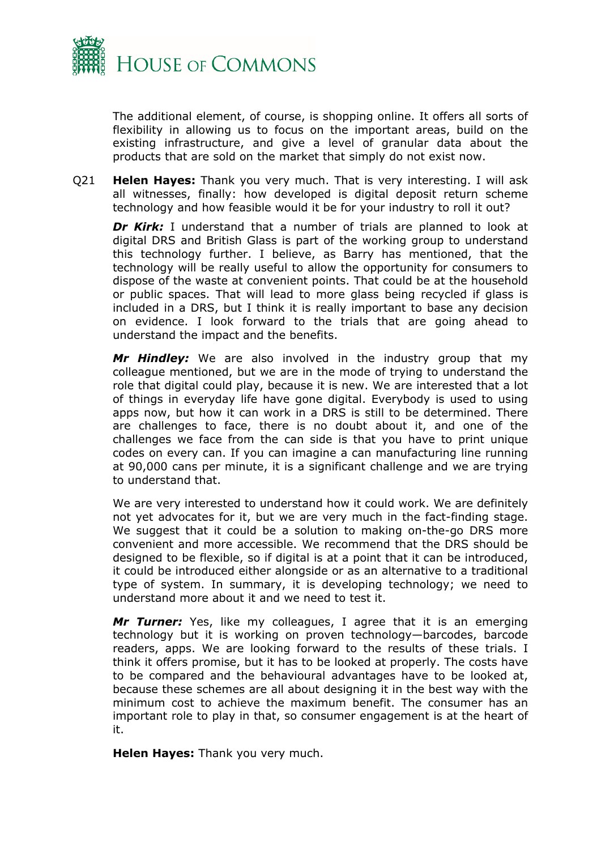

The additional element, of course, is shopping online. It offers all sorts of flexibility in allowing us to focus on the important areas, build on the existing infrastructure, and give a level of granular data about the products that are sold on the market that simply do not exist now.

Q21 **Helen Hayes:** Thank you very much. That is very interesting. I will ask all witnesses, finally: how developed is digital deposit return scheme technology and how feasible would it be for your industry to roll it out?

**Dr Kirk:** I understand that a number of trials are planned to look at digital DRS and British Glass is part of the working group to understand this technology further. I believe, as Barry has mentioned, that the technology will be really useful to allow the opportunity for consumers to dispose of the waste at convenient points. That could be at the household or public spaces. That will lead to more glass being recycled if glass is included in a DRS, but I think it is really important to base any decision on evidence. I look forward to the trials that are going ahead to understand the impact and the benefits.

*Mr Hindley:* We are also involved in the industry group that my colleague mentioned, but we are in the mode of trying to understand the role that digital could play, because it is new. We are interested that a lot of things in everyday life have gone digital. Everybody is used to using apps now, but how it can work in a DRS is still to be determined. There are challenges to face, there is no doubt about it, and one of the challenges we face from the can side is that you have to print unique codes on every can. If you can imagine a can manufacturing line running at 90,000 cans per minute, it is a significant challenge and we are trying to understand that.

We are very interested to understand how it could work. We are definitely not yet advocates for it, but we are very much in the fact-finding stage. We suggest that it could be a solution to making on-the-go DRS more convenient and more accessible. We recommend that the DRS should be designed to be flexible, so if digital is at a point that it can be introduced, it could be introduced either alongside or as an alternative to a traditional type of system. In summary, it is developing technology; we need to understand more about it and we need to test it.

*Mr Turner:* Yes, like my colleagues, I agree that it is an emerging technology but it is working on proven technology—barcodes, barcode readers, apps. We are looking forward to the results of these trials. I think it offers promise, but it has to be looked at properly. The costs have to be compared and the behavioural advantages have to be looked at, because these schemes are all about designing it in the best way with the minimum cost to achieve the maximum benefit. The consumer has an important role to play in that, so consumer engagement is at the heart of it.

**Helen Hayes:** Thank you very much.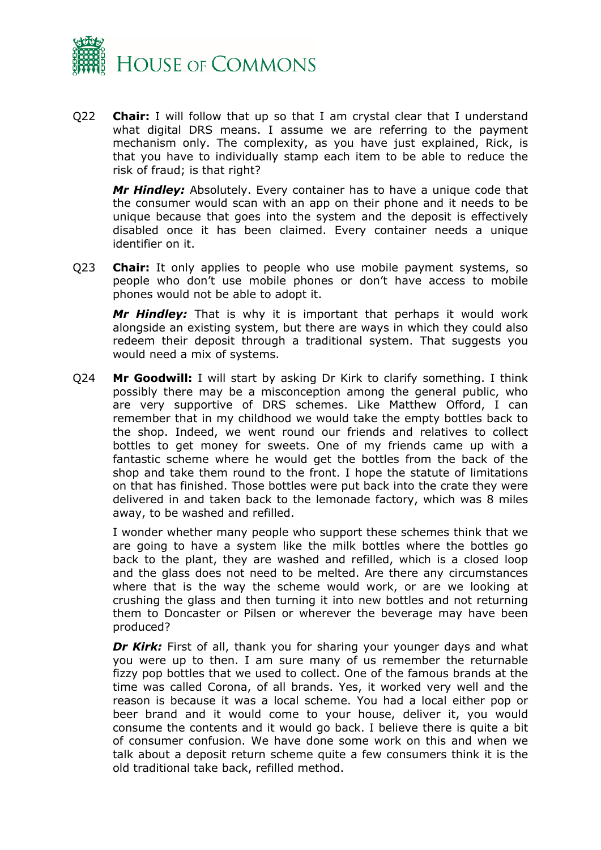

Q22 **Chair:** I will follow that up so that I am crystal clear that I understand what digital DRS means. I assume we are referring to the payment mechanism only. The complexity, as you have just explained, Rick, is that you have to individually stamp each item to be able to reduce the risk of fraud; is that right?

*Mr Hindley:* Absolutely. Every container has to have a unique code that the consumer would scan with an app on their phone and it needs to be unique because that goes into the system and the deposit is effectively disabled once it has been claimed. Every container needs a unique identifier on it.

Q23 **Chair:** It only applies to people who use mobile payment systems, so people who don't use mobile phones or don't have access to mobile phones would not be able to adopt it.

*Mr Hindley:* That is why it is important that perhaps it would work alongside an existing system, but there are ways in which they could also redeem their deposit through a traditional system. That suggests you would need a mix of systems.

Q24 **Mr Goodwill:** I will start by asking Dr Kirk to clarify something. I think possibly there may be a misconception among the general public, who are very supportive of DRS schemes. Like Matthew Offord, I can remember that in my childhood we would take the empty bottles back to the shop. Indeed, we went round our friends and relatives to collect bottles to get money for sweets. One of my friends came up with a fantastic scheme where he would get the bottles from the back of the shop and take them round to the front. I hope the statute of limitations on that has finished. Those bottles were put back into the crate they were delivered in and taken back to the lemonade factory, which was 8 miles away, to be washed and refilled.

I wonder whether many people who support these schemes think that we are going to have a system like the milk bottles where the bottles go back to the plant, they are washed and refilled, which is a closed loop and the glass does not need to be melted. Are there any circumstances where that is the way the scheme would work, or are we looking at crushing the glass and then turning it into new bottles and not returning them to Doncaster or Pilsen or wherever the beverage may have been produced?

**Dr Kirk:** First of all, thank you for sharing your younger days and what you were up to then. I am sure many of us remember the returnable fizzy pop bottles that we used to collect. One of the famous brands at the time was called Corona, of all brands. Yes, it worked very well and the reason is because it was a local scheme. You had a local either pop or beer brand and it would come to your house, deliver it, you would consume the contents and it would go back. I believe there is quite a bit of consumer confusion. We have done some work on this and when we talk about a deposit return scheme quite a few consumers think it is the old traditional take back, refilled method.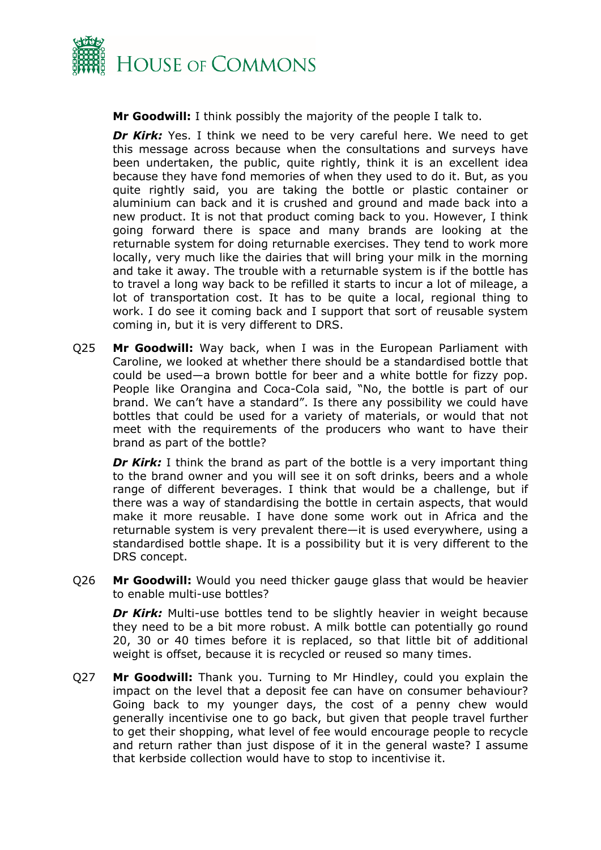

**Mr Goodwill:** I think possibly the majority of the people I talk to.

*Dr Kirk:* Yes. I think we need to be very careful here. We need to get this message across because when the consultations and surveys have been undertaken, the public, quite rightly, think it is an excellent idea because they have fond memories of when they used to do it. But, as you quite rightly said, you are taking the bottle or plastic container or aluminium can back and it is crushed and ground and made back into a new product. It is not that product coming back to you. However, I think going forward there is space and many brands are looking at the returnable system for doing returnable exercises. They tend to work more locally, very much like the dairies that will bring your milk in the morning and take it away. The trouble with a returnable system is if the bottle has to travel a long way back to be refilled it starts to incur a lot of mileage, a lot of transportation cost. It has to be quite a local, regional thing to work. I do see it coming back and I support that sort of reusable system coming in, but it is very different to DRS.

Q25 **Mr Goodwill:** Way back, when I was in the European Parliament with Caroline, we looked at whether there should be a standardised bottle that could be used—a brown bottle for beer and a white bottle for fizzy pop. People like Orangina and Coca-Cola said, "No, the bottle is part of our brand. We can't have a standard". Is there any possibility we could have bottles that could be used for a variety of materials, or would that not meet with the requirements of the producers who want to have their brand as part of the bottle?

**Dr Kirk:** I think the brand as part of the bottle is a very important thing to the brand owner and you will see it on soft drinks, beers and a whole range of different beverages. I think that would be a challenge, but if there was a way of standardising the bottle in certain aspects, that would make it more reusable. I have done some work out in Africa and the returnable system is very prevalent there—it is used everywhere, using a standardised bottle shape. It is a possibility but it is very different to the DRS concept.

Q26 **Mr Goodwill:** Would you need thicker gauge glass that would be heavier to enable multi-use bottles?

*Dr Kirk:* Multi-use bottles tend to be slightly heavier in weight because they need to be a bit more robust. A milk bottle can potentially go round 20, 30 or 40 times before it is replaced, so that little bit of additional weight is offset, because it is recycled or reused so many times.

Q27 **Mr Goodwill:** Thank you. Turning to Mr Hindley, could you explain the impact on the level that a deposit fee can have on consumer behaviour? Going back to my younger days, the cost of a penny chew would generally incentivise one to go back, but given that people travel further to get their shopping, what level of fee would encourage people to recycle and return rather than just dispose of it in the general waste? I assume that kerbside collection would have to stop to incentivise it.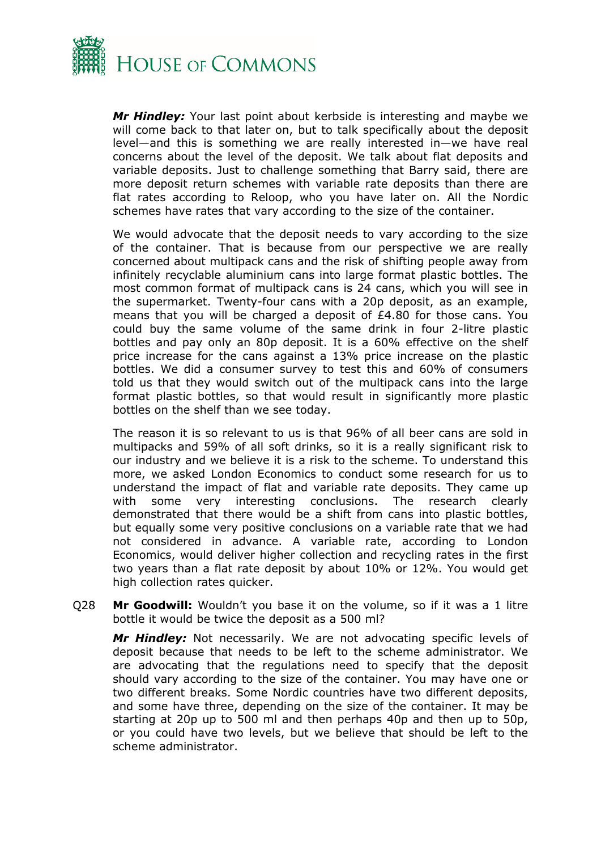

*Mr Hindley:* Your last point about kerbside is interesting and maybe we will come back to that later on, but to talk specifically about the deposit level—and this is something we are really interested in—we have real concerns about the level of the deposit. We talk about flat deposits and variable deposits. Just to challenge something that Barry said, there are more deposit return schemes with variable rate deposits than there are flat rates according to Reloop, who you have later on. All the Nordic schemes have rates that vary according to the size of the container.

We would advocate that the deposit needs to vary according to the size of the container. That is because from our perspective we are really concerned about multipack cans and the risk of shifting people away from infinitely recyclable aluminium cans into large format plastic bottles. The most common format of multipack cans is 24 cans, which you will see in the supermarket. Twenty-four cans with a 20p deposit, as an example, means that you will be charged a deposit of £4.80 for those cans. You could buy the same volume of the same drink in four 2-litre plastic bottles and pay only an 80p deposit. It is a 60% effective on the shelf price increase for the cans against a 13% price increase on the plastic bottles. We did a consumer survey to test this and 60% of consumers told us that they would switch out of the multipack cans into the large format plastic bottles, so that would result in significantly more plastic bottles on the shelf than we see today.

The reason it is so relevant to us is that 96% of all beer cans are sold in multipacks and 59% of all soft drinks, so it is a really significant risk to our industry and we believe it is a risk to the scheme. To understand this more, we asked London Economics to conduct some research for us to understand the impact of flat and variable rate deposits. They came up with some very interesting conclusions. The research clearly demonstrated that there would be a shift from cans into plastic bottles, but equally some very positive conclusions on a variable rate that we had not considered in advance. A variable rate, according to London Economics, would deliver higher collection and recycling rates in the first two years than a flat rate deposit by about 10% or 12%. You would get high collection rates quicker.

Q28 **Mr Goodwill:** Wouldn't you base it on the volume, so if it was a 1 litre bottle it would be twice the deposit as a 500 ml?

*Mr Hindley:* Not necessarily. We are not advocating specific levels of deposit because that needs to be left to the scheme administrator. We are advocating that the regulations need to specify that the deposit should vary according to the size of the container. You may have one or two different breaks. Some Nordic countries have two different deposits, and some have three, depending on the size of the container. It may be starting at 20p up to 500 ml and then perhaps 40p and then up to 50p, or you could have two levels, but we believe that should be left to the scheme administrator.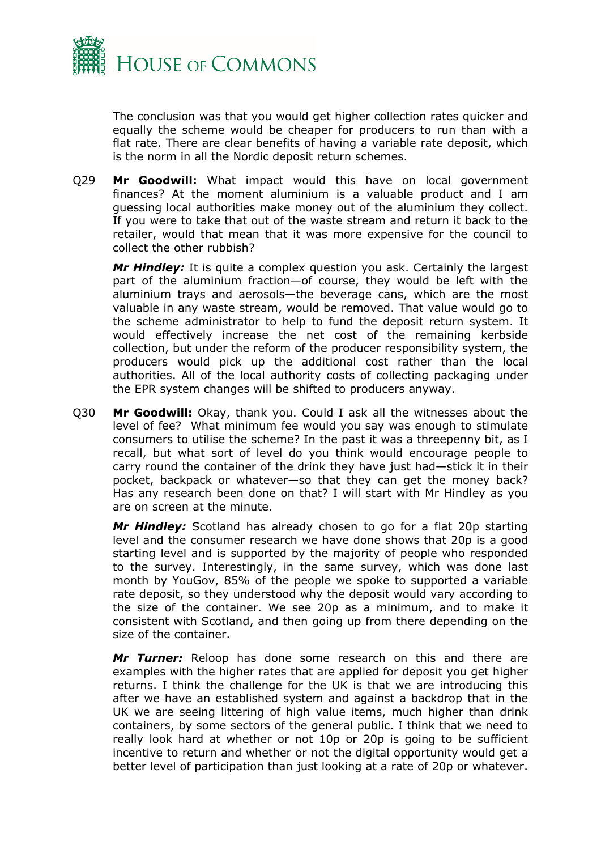

The conclusion was that you would get higher collection rates quicker and equally the scheme would be cheaper for producers to run than with a flat rate. There are clear benefits of having a variable rate deposit, which is the norm in all the Nordic deposit return schemes.

Q29 **Mr Goodwill:** What impact would this have on local government finances? At the moment aluminium is a valuable product and I am guessing local authorities make money out of the aluminium they collect. If you were to take that out of the waste stream and return it back to the retailer, would that mean that it was more expensive for the council to collect the other rubbish?

*Mr Hindley:* It is quite a complex question you ask. Certainly the largest part of the aluminium fraction—of course, they would be left with the aluminium trays and aerosols—the beverage cans, which are the most valuable in any waste stream, would be removed. That value would go to the scheme administrator to help to fund the deposit return system. It would effectively increase the net cost of the remaining kerbside collection, but under the reform of the producer responsibility system, the producers would pick up the additional cost rather than the local authorities. All of the local authority costs of collecting packaging under the EPR system changes will be shifted to producers anyway.

Q30 **Mr Goodwill:** Okay, thank you. Could I ask all the witnesses about the level of fee? What minimum fee would you say was enough to stimulate consumers to utilise the scheme? In the past it was a threepenny bit, as I recall, but what sort of level do you think would encourage people to carry round the container of the drink they have just had—stick it in their pocket, backpack or whatever—so that they can get the money back? Has any research been done on that? I will start with Mr Hindley as you are on screen at the minute.

*Mr Hindley:* Scotland has already chosen to go for a flat 20p starting level and the consumer research we have done shows that 20p is a good starting level and is supported by the majority of people who responded to the survey. Interestingly, in the same survey, which was done last month by YouGov, 85% of the people we spoke to supported a variable rate deposit, so they understood why the deposit would vary according to the size of the container. We see 20p as a minimum, and to make it consistent with Scotland, and then going up from there depending on the size of the container.

*Mr Turner:* Reloop has done some research on this and there are examples with the higher rates that are applied for deposit you get higher returns. I think the challenge for the UK is that we are introducing this after we have an established system and against a backdrop that in the UK we are seeing littering of high value items, much higher than drink containers, by some sectors of the general public. I think that we need to really look hard at whether or not 10p or 20p is going to be sufficient incentive to return and whether or not the digital opportunity would get a better level of participation than just looking at a rate of 20p or whatever.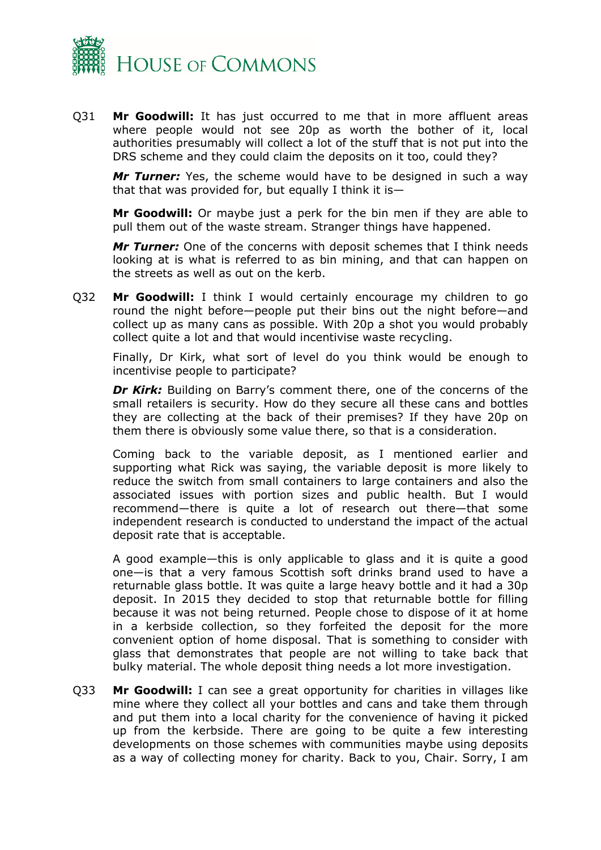

Q31 **Mr Goodwill:** It has just occurred to me that in more affluent areas where people would not see 20p as worth the bother of it, local authorities presumably will collect a lot of the stuff that is not put into the DRS scheme and they could claim the deposits on it too, could they?

*Mr Turner:* Yes, the scheme would have to be designed in such a way that that was provided for, but equally I think it is—

**Mr Goodwill:** Or maybe just a perk for the bin men if they are able to pull them out of the waste stream. Stranger things have happened.

*Mr Turner:* One of the concerns with deposit schemes that I think needs looking at is what is referred to as bin mining, and that can happen on the streets as well as out on the kerb.

Q32 **Mr Goodwill:** I think I would certainly encourage my children to go round the night before—people put their bins out the night before—and collect up as many cans as possible. With 20p a shot you would probably collect quite a lot and that would incentivise waste recycling.

Finally, Dr Kirk, what sort of level do you think would be enough to incentivise people to participate?

**Dr Kirk:** Building on Barry's comment there, one of the concerns of the small retailers is security. How do they secure all these cans and bottles they are collecting at the back of their premises? If they have 20p on them there is obviously some value there, so that is a consideration.

Coming back to the variable deposit, as I mentioned earlier and supporting what Rick was saying, the variable deposit is more likely to reduce the switch from small containers to large containers and also the associated issues with portion sizes and public health. But I would recommend—there is quite a lot of research out there—that some independent research is conducted to understand the impact of the actual deposit rate that is acceptable.

A good example—this is only applicable to glass and it is quite a good one—is that a very famous Scottish soft drinks brand used to have a returnable glass bottle. It was quite a large heavy bottle and it had a 30p deposit. In 2015 they decided to stop that returnable bottle for filling because it was not being returned. People chose to dispose of it at home in a kerbside collection, so they forfeited the deposit for the more convenient option of home disposal. That is something to consider with glass that demonstrates that people are not willing to take back that bulky material. The whole deposit thing needs a lot more investigation.

Q33 **Mr Goodwill:** I can see a great opportunity for charities in villages like mine where they collect all your bottles and cans and take them through and put them into a local charity for the convenience of having it picked up from the kerbside. There are going to be quite a few interesting developments on those schemes with communities maybe using deposits as a way of collecting money for charity. Back to you, Chair. Sorry, I am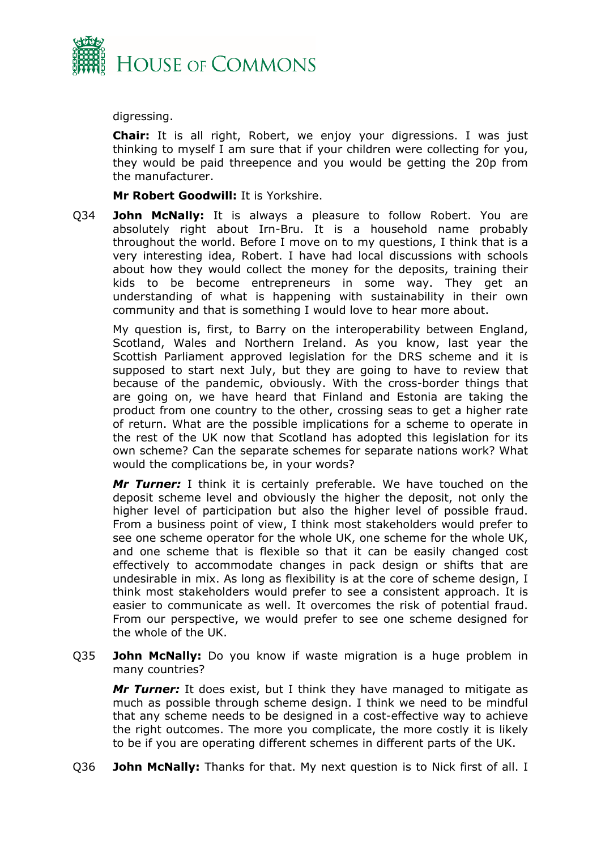

digressing.

**Chair:** It is all right, Robert, we enjoy your digressions. I was just thinking to myself I am sure that if your children were collecting for you, they would be paid threepence and you would be getting the 20p from the manufacturer.

**Mr Robert Goodwill:** It is Yorkshire.

Q34 **John McNally:** It is always a pleasure to follow Robert. You are absolutely right about Irn-Bru. It is a household name probably throughout the world. Before I move on to my questions, I think that is a very interesting idea, Robert. I have had local discussions with schools about how they would collect the money for the deposits, training their kids to be become entrepreneurs in some way. They get an understanding of what is happening with sustainability in their own community and that is something I would love to hear more about.

My question is, first, to Barry on the interoperability between England, Scotland, Wales and Northern Ireland. As you know, last year the Scottish Parliament approved legislation for the DRS scheme and it is supposed to start next July, but they are going to have to review that because of the pandemic, obviously. With the cross-border things that are going on, we have heard that Finland and Estonia are taking the product from one country to the other, crossing seas to get a higher rate of return. What are the possible implications for a scheme to operate in the rest of the UK now that Scotland has adopted this legislation for its own scheme? Can the separate schemes for separate nations work? What would the complications be, in your words?

*Mr Turner:* I think it is certainly preferable. We have touched on the deposit scheme level and obviously the higher the deposit, not only the higher level of participation but also the higher level of possible fraud. From a business point of view, I think most stakeholders would prefer to see one scheme operator for the whole UK, one scheme for the whole UK, and one scheme that is flexible so that it can be easily changed cost effectively to accommodate changes in pack design or shifts that are undesirable in mix. As long as flexibility is at the core of scheme design, I think most stakeholders would prefer to see a consistent approach. It is easier to communicate as well. It overcomes the risk of potential fraud. From our perspective, we would prefer to see one scheme designed for the whole of the UK.

Q35 **John McNally:** Do you know if waste migration is a huge problem in many countries?

*Mr Turner:* It does exist, but I think they have managed to mitigate as much as possible through scheme design. I think we need to be mindful that any scheme needs to be designed in a cost-effective way to achieve the right outcomes. The more you complicate, the more costly it is likely to be if you are operating different schemes in different parts of the UK.

Q36 **John McNally:** Thanks for that. My next question is to Nick first of all. I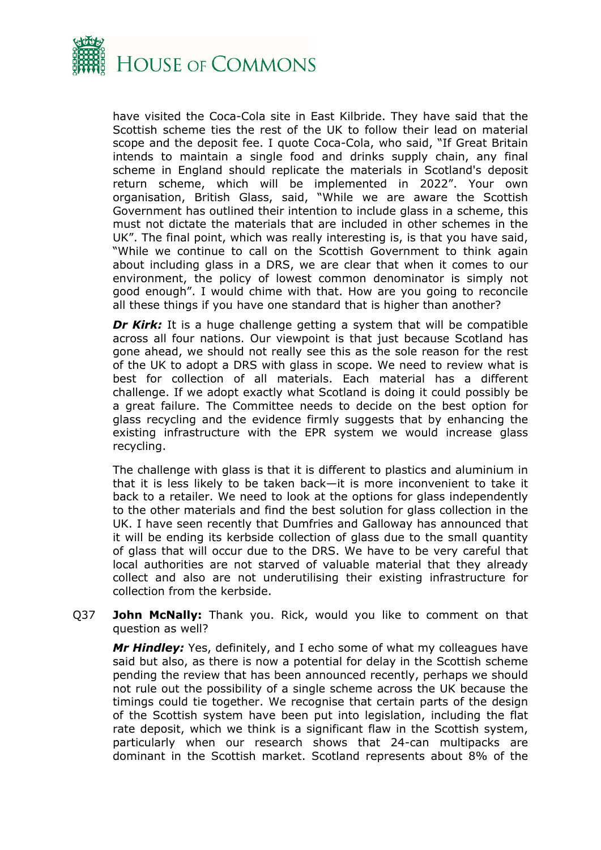

have visited the Coca-Cola site in East Kilbride. They have said that the Scottish scheme ties the rest of the UK to follow their lead on material scope and the deposit fee. I quote Coca-Cola, who said, "If Great Britain intends to maintain a single food and drinks supply chain, any final scheme in England should replicate the materials in Scotland's deposit return scheme, which will be implemented in 2022". Your own organisation, British Glass, said, "While we are aware the Scottish Government has outlined their intention to include glass in a scheme, this must not dictate the materials that are included in other schemes in the UK". The final point, which was really interesting is, is that you have said, "While we continue to call on the Scottish Government to think again about including glass in a DRS, we are clear that when it comes to our environment, the policy of lowest common denominator is simply not good enough". I would chime with that. How are you going to reconcile all these things if you have one standard that is higher than another?

**Dr Kirk:** It is a huge challenge getting a system that will be compatible across all four nations. Our viewpoint is that just because Scotland has gone ahead, we should not really see this as the sole reason for the rest of the UK to adopt a DRS with glass in scope. We need to review what is best for collection of all materials. Each material has a different challenge. If we adopt exactly what Scotland is doing it could possibly be a great failure. The Committee needs to decide on the best option for glass recycling and the evidence firmly suggests that by enhancing the existing infrastructure with the EPR system we would increase glass recycling.

The challenge with glass is that it is different to plastics and aluminium in that it is less likely to be taken back—it is more inconvenient to take it back to a retailer. We need to look at the options for glass independently to the other materials and find the best solution for glass collection in the UK. I have seen recently that Dumfries and Galloway has announced that it will be ending its kerbside collection of glass due to the small quantity of glass that will occur due to the DRS. We have to be very careful that local authorities are not starved of valuable material that they already collect and also are not underutilising their existing infrastructure for collection from the kerbside.

Q37 **John McNally:** Thank you. Rick, would you like to comment on that question as well?

*Mr Hindley:* Yes, definitely, and I echo some of what my colleagues have said but also, as there is now a potential for delay in the Scottish scheme pending the review that has been announced recently, perhaps we should not rule out the possibility of a single scheme across the UK because the timings could tie together. We recognise that certain parts of the design of the Scottish system have been put into legislation, including the flat rate deposit, which we think is a significant flaw in the Scottish system, particularly when our research shows that 24-can multipacks are dominant in the Scottish market. Scotland represents about 8% of the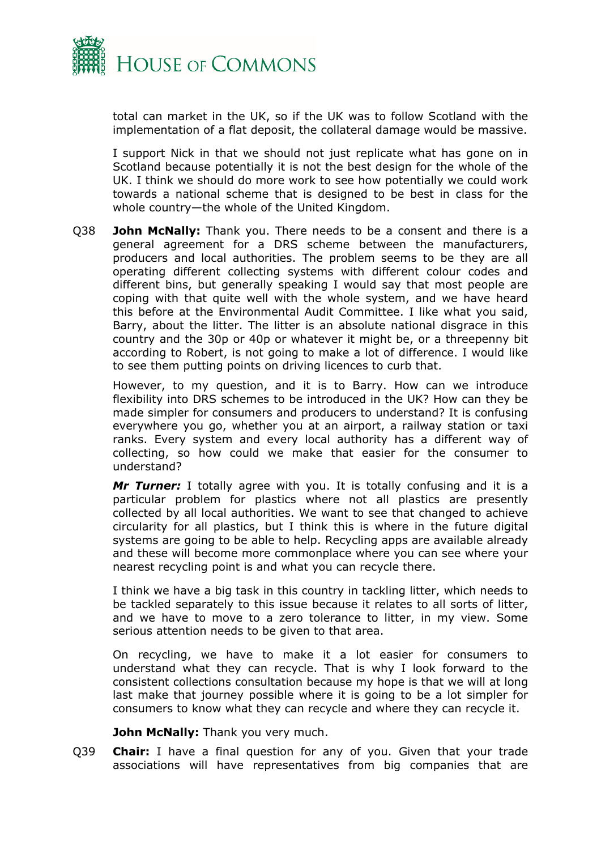

total can market in the UK, so if the UK was to follow Scotland with the implementation of a flat deposit, the collateral damage would be massive.

I support Nick in that we should not just replicate what has gone on in Scotland because potentially it is not the best design for the whole of the UK. I think we should do more work to see how potentially we could work towards a national scheme that is designed to be best in class for the whole country—the whole of the United Kingdom.

Q38 **John McNally:** Thank you. There needs to be a consent and there is a general agreement for a DRS scheme between the manufacturers, producers and local authorities. The problem seems to be they are all operating different collecting systems with different colour codes and different bins, but generally speaking I would say that most people are coping with that quite well with the whole system, and we have heard this before at the Environmental Audit Committee. I like what you said, Barry, about the litter. The litter is an absolute national disgrace in this country and the 30p or 40p or whatever it might be, or a threepenny bit according to Robert, is not going to make a lot of difference. I would like to see them putting points on driving licences to curb that.

However, to my question, and it is to Barry. How can we introduce flexibility into DRS schemes to be introduced in the UK? How can they be made simpler for consumers and producers to understand? It is confusing everywhere you go, whether you at an airport, a railway station or taxi ranks. Every system and every local authority has a different way of collecting, so how could we make that easier for the consumer to understand?

*Mr Turner:* I totally agree with you. It is totally confusing and it is a particular problem for plastics where not all plastics are presently collected by all local authorities. We want to see that changed to achieve circularity for all plastics, but I think this is where in the future digital systems are going to be able to help. Recycling apps are available already and these will become more commonplace where you can see where your nearest recycling point is and what you can recycle there.

I think we have a big task in this country in tackling litter, which needs to be tackled separately to this issue because it relates to all sorts of litter, and we have to move to a zero tolerance to litter, in my view. Some serious attention needs to be given to that area.

On recycling, we have to make it a lot easier for consumers to understand what they can recycle. That is why I look forward to the consistent collections consultation because my hope is that we will at long last make that journey possible where it is going to be a lot simpler for consumers to know what they can recycle and where they can recycle it.

**John McNally:** Thank you very much.

Q39 **Chair:** I have a final question for any of you. Given that your trade associations will have representatives from big companies that are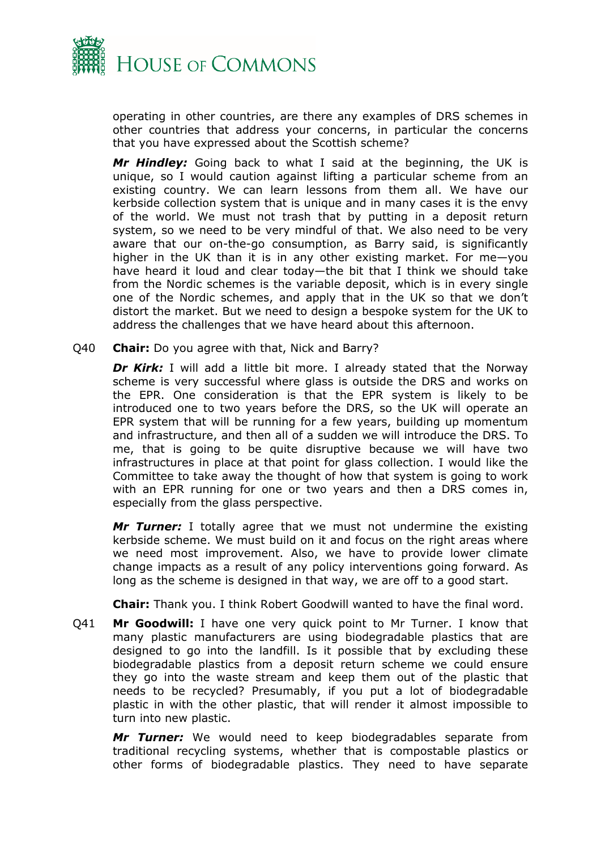

operating in other countries, are there any examples of DRS schemes in other countries that address your concerns, in particular the concerns that you have expressed about the Scottish scheme?

*Mr Hindley:* Going back to what I said at the beginning, the UK is unique, so I would caution against lifting a particular scheme from an existing country. We can learn lessons from them all. We have our kerbside collection system that is unique and in many cases it is the envy of the world. We must not trash that by putting in a deposit return system, so we need to be very mindful of that. We also need to be very aware that our on-the-go consumption, as Barry said, is significantly higher in the UK than it is in any other existing market. For me—you have heard it loud and clear today—the bit that I think we should take from the Nordic schemes is the variable deposit, which is in every single one of the Nordic schemes, and apply that in the UK so that we don't distort the market. But we need to design a bespoke system for the UK to address the challenges that we have heard about this afternoon.

Q40 **Chair:** Do you agree with that, Nick and Barry?

**Dr Kirk:** I will add a little bit more. I already stated that the Norway scheme is very successful where glass is outside the DRS and works on the EPR. One consideration is that the EPR system is likely to be introduced one to two years before the DRS, so the UK will operate an EPR system that will be running for a few years, building up momentum and infrastructure, and then all of a sudden we will introduce the DRS. To me, that is going to be quite disruptive because we will have two infrastructures in place at that point for glass collection. I would like the Committee to take away the thought of how that system is going to work with an EPR running for one or two years and then a DRS comes in, especially from the glass perspective.

*Mr Turner:* I totally agree that we must not undermine the existing kerbside scheme. We must build on it and focus on the right areas where we need most improvement. Also, we have to provide lower climate change impacts as a result of any policy interventions going forward. As long as the scheme is designed in that way, we are off to a good start.

**Chair:** Thank you. I think Robert Goodwill wanted to have the final word.

Q41 **Mr Goodwill:** I have one very quick point to Mr Turner. I know that many plastic manufacturers are using biodegradable plastics that are designed to go into the landfill. Is it possible that by excluding these biodegradable plastics from a deposit return scheme we could ensure they go into the waste stream and keep them out of the plastic that needs to be recycled? Presumably, if you put a lot of biodegradable plastic in with the other plastic, that will render it almost impossible to turn into new plastic.

*Mr Turner:* We would need to keep biodegradables separate from traditional recycling systems, whether that is compostable plastics or other forms of biodegradable plastics. They need to have separate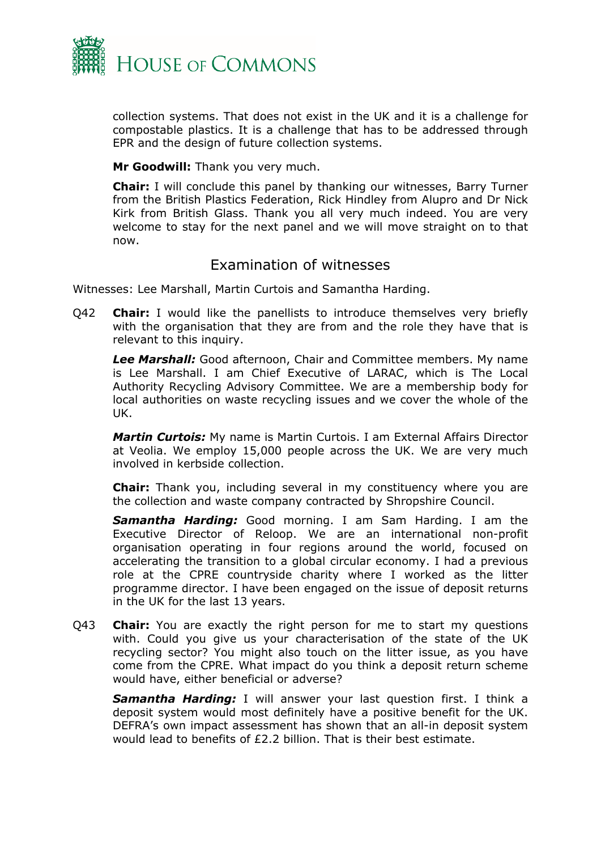

collection systems. That does not exist in the UK and it is a challenge for compostable plastics. It is a challenge that has to be addressed through EPR and the design of future collection systems.

**Mr Goodwill:** Thank you very much.

**Chair:** I will conclude this panel by thanking our witnesses, Barry Turner from the British Plastics Federation, Rick Hindley from Alupro and Dr Nick Kirk from British Glass. Thank you all very much indeed. You are very welcome to stay for the next panel and we will move straight on to that now.

## <span id="page-20-0"></span>Examination of witnesses

Witnesses: Lee Marshall, Martin Curtois and Samantha Harding.

Q42 **Chair:** I would like the panellists to introduce themselves very briefly with the organisation that they are from and the role they have that is relevant to this inquiry.

*Lee Marshall:* Good afternoon, Chair and Committee members. My name is Lee Marshall. I am Chief Executive of LARAC, which is The Local Authority Recycling Advisory Committee. We are a membership body for local authorities on waste recycling issues and we cover the whole of the UK.

*Martin Curtois:* My name is Martin Curtois. I am External Affairs Director at Veolia. We employ 15,000 people across the UK. We are very much involved in kerbside collection.

**Chair:** Thank you, including several in my constituency where you are the collection and waste company contracted by Shropshire Council.

*Samantha Harding:* Good morning. I am Sam Harding. I am the Executive Director of Reloop. We are an international non-profit organisation operating in four regions around the world, focused on accelerating the transition to a global circular economy. I had a previous role at the CPRE countryside charity where I worked as the litter programme director. I have been engaged on the issue of deposit returns in the UK for the last 13 years.

Q43 **Chair:** You are exactly the right person for me to start my questions with. Could you give us your characterisation of the state of the UK recycling sector? You might also touch on the litter issue, as you have come from the CPRE. What impact do you think a deposit return scheme would have, either beneficial or adverse?

*Samantha Harding:* I will answer your last question first. I think a deposit system would most definitely have a positive benefit for the UK. DEFRA's own impact assessment has shown that an all-in deposit system would lead to benefits of £2.2 billion. That is their best estimate.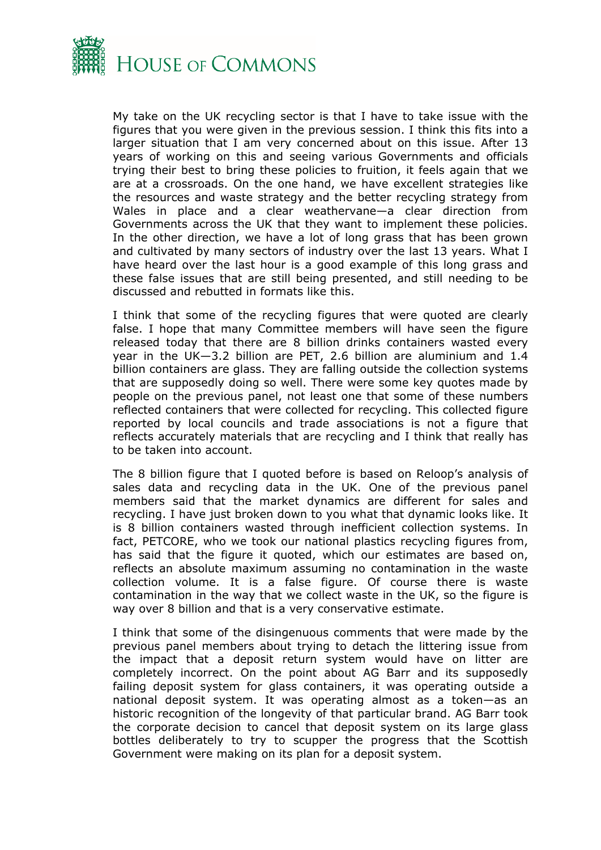

My take on the UK recycling sector is that I have to take issue with the figures that you were given in the previous session. I think this fits into a larger situation that I am very concerned about on this issue. After 13 years of working on this and seeing various Governments and officials trying their best to bring these policies to fruition, it feels again that we are at a crossroads. On the one hand, we have excellent strategies like the resources and waste strategy and the better recycling strategy from Wales in place and a clear weathervane—a clear direction from Governments across the UK that they want to implement these policies. In the other direction, we have a lot of long grass that has been grown and cultivated by many sectors of industry over the last 13 years. What I have heard over the last hour is a good example of this long grass and these false issues that are still being presented, and still needing to be discussed and rebutted in formats like this.

I think that some of the recycling figures that were quoted are clearly false. I hope that many Committee members will have seen the figure released today that there are 8 billion drinks containers wasted every year in the UK—3.2 billion are PET, 2.6 billion are aluminium and 1.4 billion containers are glass. They are falling outside the collection systems that are supposedly doing so well. There were some key quotes made by people on the previous panel, not least one that some of these numbers reflected containers that were collected for recycling. This collected figure reported by local councils and trade associations is not a figure that reflects accurately materials that are recycling and I think that really has to be taken into account.

The 8 billion figure that I quoted before is based on Reloop's analysis of sales data and recycling data in the UK. One of the previous panel members said that the market dynamics are different for sales and recycling. I have just broken down to you what that dynamic looks like. It is 8 billion containers wasted through inefficient collection systems. In fact, PETCORE, who we took our national plastics recycling figures from, has said that the figure it quoted, which our estimates are based on, reflects an absolute maximum assuming no contamination in the waste collection volume. It is a false figure. Of course there is waste contamination in the way that we collect waste in the UK, so the figure is way over 8 billion and that is a very conservative estimate.

I think that some of the disingenuous comments that were made by the previous panel members about trying to detach the littering issue from the impact that a deposit return system would have on litter are completely incorrect. On the point about AG Barr and its supposedly failing deposit system for glass containers, it was operating outside a national deposit system. It was operating almost as a token—as an historic recognition of the longevity of that particular brand. AG Barr took the corporate decision to cancel that deposit system on its large glass bottles deliberately to try to scupper the progress that the Scottish Government were making on its plan for a deposit system.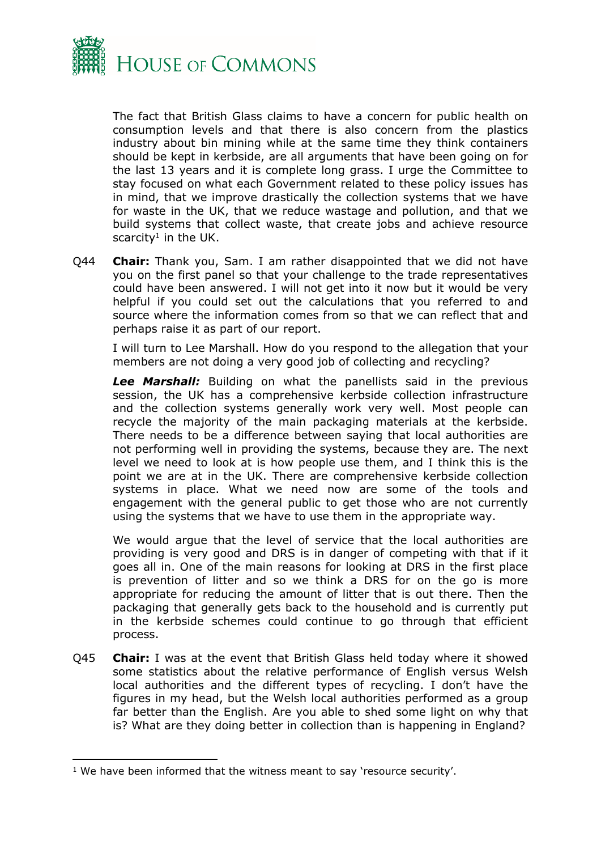

The fact that British Glass claims to have a concern for public health on consumption levels and that there is also concern from the plastics industry about bin mining while at the same time they think containers should be kept in kerbside, are all arguments that have been going on for the last 13 years and it is complete long grass. I urge the Committee to stay focused on what each Government related to these policy issues has in mind, that we improve drastically the collection systems that we have for waste in the UK, that we reduce wastage and pollution, and that we build systems that collect waste, that create jobs and achieve resource scarcity<sup>1</sup> in the UK.

Q44 **Chair:** Thank you, Sam. I am rather disappointed that we did not have you on the first panel so that your challenge to the trade representatives could have been answered. I will not get into it now but it would be very helpful if you could set out the calculations that you referred to and source where the information comes from so that we can reflect that and perhaps raise it as part of our report.

I will turn to Lee Marshall. How do you respond to the allegation that your members are not doing a very good job of collecting and recycling?

*Lee Marshall:* Building on what the panellists said in the previous session, the UK has a comprehensive kerbside collection infrastructure and the collection systems generally work very well. Most people can recycle the majority of the main packaging materials at the kerbside. There needs to be a difference between saying that local authorities are not performing well in providing the systems, because they are. The next level we need to look at is how people use them, and I think this is the point we are at in the UK. There are comprehensive kerbside collection systems in place. What we need now are some of the tools and engagement with the general public to get those who are not currently using the systems that we have to use them in the appropriate way.

We would argue that the level of service that the local authorities are providing is very good and DRS is in danger of competing with that if it goes all in. One of the main reasons for looking at DRS in the first place is prevention of litter and so we think a DRS for on the go is more appropriate for reducing the amount of litter that is out there. Then the packaging that generally gets back to the household and is currently put in the kerbside schemes could continue to go through that efficient process.

Q45 **Chair:** I was at the event that British Glass held today where it showed some statistics about the relative performance of English versus Welsh local authorities and the different types of recycling. I don't have the figures in my head, but the Welsh local authorities performed as a group far better than the English. Are you able to shed some light on why that is? What are they doing better in collection than is happening in England?

<sup>&</sup>lt;sup>1</sup> We have been informed that the witness meant to say 'resource security'.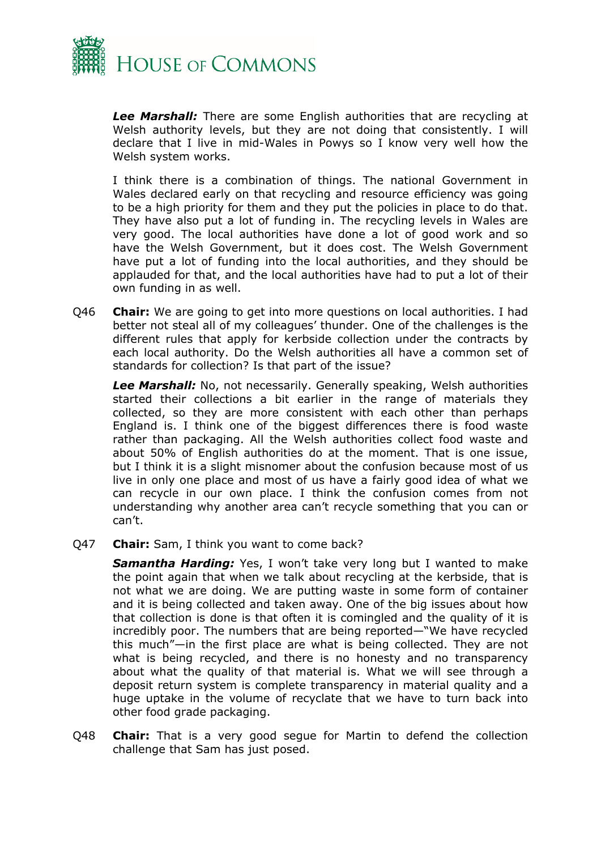

*Lee Marshall:* There are some English authorities that are recycling at Welsh authority levels, but they are not doing that consistently. I will declare that I live in mid-Wales in Powys so I know very well how the Welsh system works.

I think there is a combination of things. The national Government in Wales declared early on that recycling and resource efficiency was going to be a high priority for them and they put the policies in place to do that. They have also put a lot of funding in. The recycling levels in Wales are very good. The local authorities have done a lot of good work and so have the Welsh Government, but it does cost. The Welsh Government have put a lot of funding into the local authorities, and they should be applauded for that, and the local authorities have had to put a lot of their own funding in as well.

Q46 **Chair:** We are going to get into more questions on local authorities. I had better not steal all of my colleagues' thunder. One of the challenges is the different rules that apply for kerbside collection under the contracts by each local authority. Do the Welsh authorities all have a common set of standards for collection? Is that part of the issue?

*Lee Marshall:* No, not necessarily. Generally speaking, Welsh authorities started their collections a bit earlier in the range of materials they collected, so they are more consistent with each other than perhaps England is. I think one of the biggest differences there is food waste rather than packaging. All the Welsh authorities collect food waste and about 50% of English authorities do at the moment. That is one issue, but I think it is a slight misnomer about the confusion because most of us live in only one place and most of us have a fairly good idea of what we can recycle in our own place. I think the confusion comes from not understanding why another area can't recycle something that you can or can't.

Q47 **Chair:** Sam, I think you want to come back?

*Samantha Harding:* Yes, I won't take very long but I wanted to make the point again that when we talk about recycling at the kerbside, that is not what we are doing. We are putting waste in some form of container and it is being collected and taken away. One of the big issues about how that collection is done is that often it is comingled and the quality of it is incredibly poor. The numbers that are being reported—"We have recycled this much"—in the first place are what is being collected. They are not what is being recycled, and there is no honesty and no transparency about what the quality of that material is. What we will see through a deposit return system is complete transparency in material quality and a huge uptake in the volume of recyclate that we have to turn back into other food grade packaging.

Q48 **Chair:** That is a very good segue for Martin to defend the collection challenge that Sam has just posed.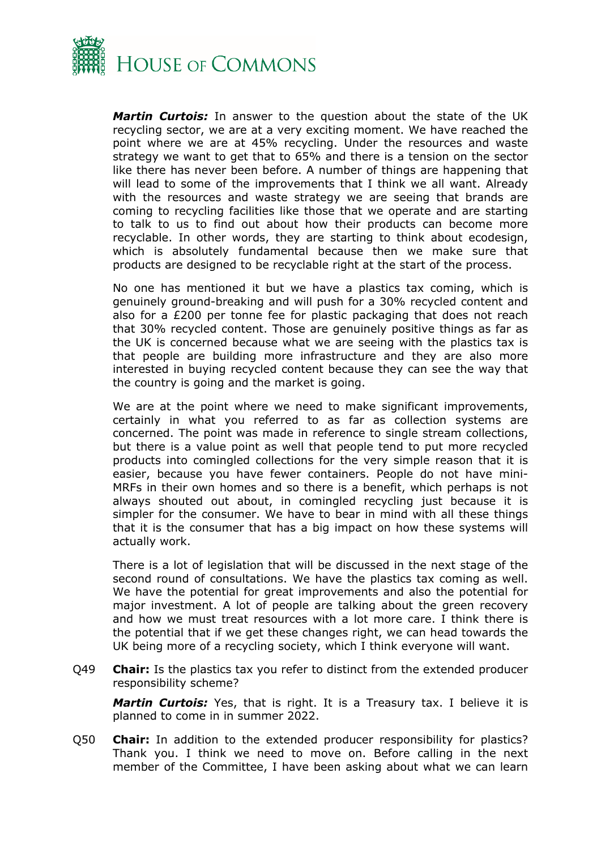

*Martin Curtois:* In answer to the question about the state of the UK recycling sector, we are at a very exciting moment. We have reached the point where we are at 45% recycling. Under the resources and waste strategy we want to get that to 65% and there is a tension on the sector like there has never been before. A number of things are happening that will lead to some of the improvements that I think we all want. Already with the resources and waste strategy we are seeing that brands are coming to recycling facilities like those that we operate and are starting to talk to us to find out about how their products can become more recyclable. In other words, they are starting to think about ecodesign, which is absolutely fundamental because then we make sure that products are designed to be recyclable right at the start of the process.

No one has mentioned it but we have a plastics tax coming, which is genuinely ground-breaking and will push for a 30% recycled content and also for a £200 per tonne fee for plastic packaging that does not reach that 30% recycled content. Those are genuinely positive things as far as the UK is concerned because what we are seeing with the plastics tax is that people are building more infrastructure and they are also more interested in buying recycled content because they can see the way that the country is going and the market is going.

We are at the point where we need to make significant improvements, certainly in what you referred to as far as collection systems are concerned. The point was made in reference to single stream collections, but there is a value point as well that people tend to put more recycled products into comingled collections for the very simple reason that it is easier, because you have fewer containers. People do not have mini-MRFs in their own homes and so there is a benefit, which perhaps is not always shouted out about, in comingled recycling just because it is simpler for the consumer. We have to bear in mind with all these things that it is the consumer that has a big impact on how these systems will actually work.

There is a lot of legislation that will be discussed in the next stage of the second round of consultations. We have the plastics tax coming as well. We have the potential for great improvements and also the potential for major investment. A lot of people are talking about the green recovery and how we must treat resources with a lot more care. I think there is the potential that if we get these changes right, we can head towards the UK being more of a recycling society, which I think everyone will want.

Q49 **Chair:** Is the plastics tax you refer to distinct from the extended producer responsibility scheme?

*Martin Curtois:* Yes, that is right. It is a Treasury tax. I believe it is planned to come in in summer 2022.

Q50 **Chair:** In addition to the extended producer responsibility for plastics? Thank you. I think we need to move on. Before calling in the next member of the Committee, I have been asking about what we can learn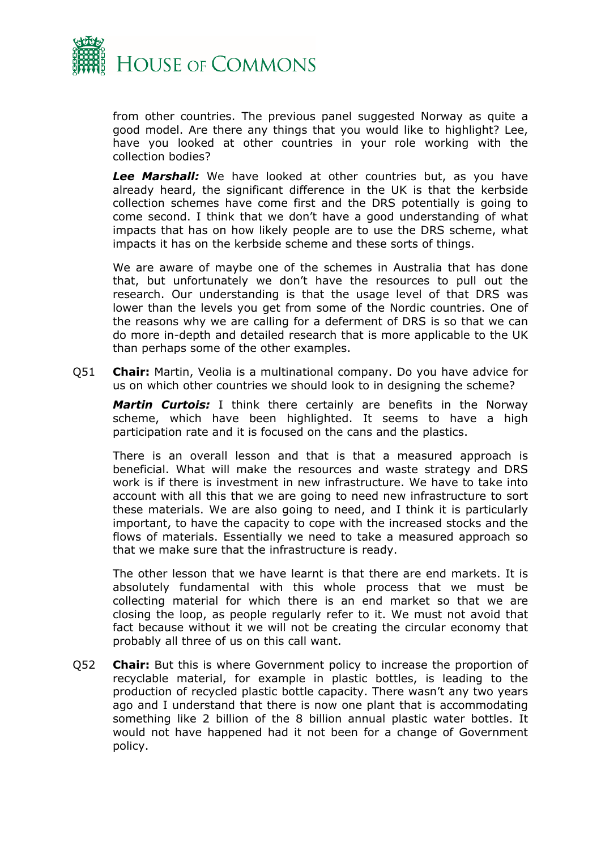

from other countries. The previous panel suggested Norway as quite a good model. Are there any things that you would like to highlight? Lee, have you looked at other countries in your role working with the collection bodies?

*Lee Marshall:* We have looked at other countries but, as you have already heard, the significant difference in the UK is that the kerbside collection schemes have come first and the DRS potentially is going to come second. I think that we don't have a good understanding of what impacts that has on how likely people are to use the DRS scheme, what impacts it has on the kerbside scheme and these sorts of things.

We are aware of maybe one of the schemes in Australia that has done that, but unfortunately we don't have the resources to pull out the research. Our understanding is that the usage level of that DRS was lower than the levels you get from some of the Nordic countries. One of the reasons why we are calling for a deferment of DRS is so that we can do more in-depth and detailed research that is more applicable to the UK than perhaps some of the other examples.

Q51 **Chair:** Martin, Veolia is a multinational company. Do you have advice for us on which other countries we should look to in designing the scheme?

*Martin Curtois:* I think there certainly are benefits in the Norway scheme, which have been highlighted. It seems to have a high participation rate and it is focused on the cans and the plastics.

There is an overall lesson and that is that a measured approach is beneficial. What will make the resources and waste strategy and DRS work is if there is investment in new infrastructure. We have to take into account with all this that we are going to need new infrastructure to sort these materials. We are also going to need, and I think it is particularly important, to have the capacity to cope with the increased stocks and the flows of materials. Essentially we need to take a measured approach so that we make sure that the infrastructure is ready.

The other lesson that we have learnt is that there are end markets. It is absolutely fundamental with this whole process that we must be collecting material for which there is an end market so that we are closing the loop, as people regularly refer to it. We must not avoid that fact because without it we will not be creating the circular economy that probably all three of us on this call want.

Q52 **Chair:** But this is where Government policy to increase the proportion of recyclable material, for example in plastic bottles, is leading to the production of recycled plastic bottle capacity. There wasn't any two years ago and I understand that there is now one plant that is accommodating something like 2 billion of the 8 billion annual plastic water bottles. It would not have happened had it not been for a change of Government policy.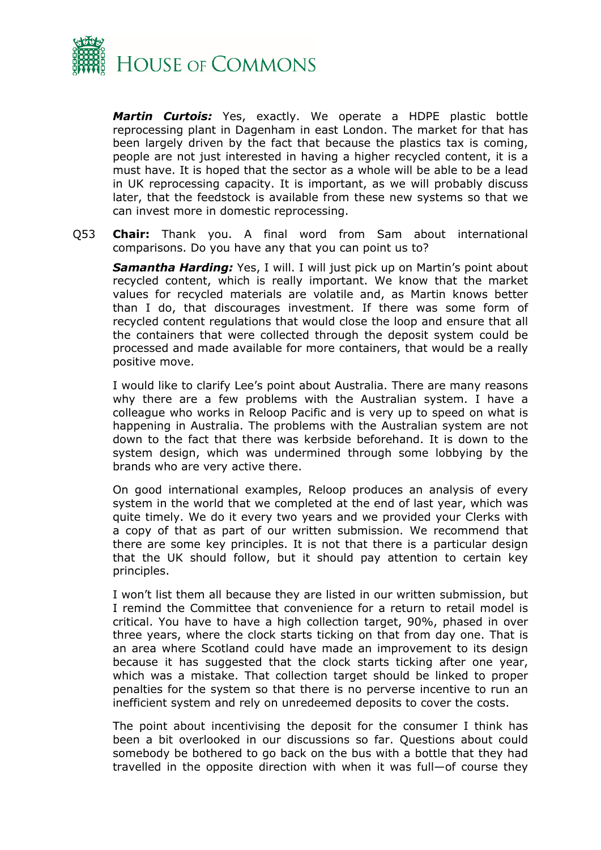

*Martin Curtois:* Yes, exactly. We operate a HDPE plastic bottle reprocessing plant in Dagenham in east London. The market for that has been largely driven by the fact that because the plastics tax is coming, people are not just interested in having a higher recycled content, it is a must have. It is hoped that the sector as a whole will be able to be a lead in UK reprocessing capacity. It is important, as we will probably discuss later, that the feedstock is available from these new systems so that we can invest more in domestic reprocessing.

Q53 **Chair:** Thank you. A final word from Sam about international comparisons. Do you have any that you can point us to?

*Samantha Harding:* Yes, I will. I will just pick up on Martin's point about recycled content, which is really important. We know that the market values for recycled materials are volatile and, as Martin knows better than I do, that discourages investment. If there was some form of recycled content regulations that would close the loop and ensure that all the containers that were collected through the deposit system could be processed and made available for more containers, that would be a really positive move.

I would like to clarify Lee's point about Australia. There are many reasons why there are a few problems with the Australian system. I have a colleague who works in Reloop Pacific and is very up to speed on what is happening in Australia. The problems with the Australian system are not down to the fact that there was kerbside beforehand. It is down to the system design, which was undermined through some lobbying by the brands who are very active there.

On good international examples, Reloop produces an analysis of every system in the world that we completed at the end of last year, which was quite timely. We do it every two years and we provided your Clerks with a copy of that as part of our written submission. We recommend that there are some key principles. It is not that there is a particular design that the UK should follow, but it should pay attention to certain key principles.

I won't list them all because they are listed in our written submission, but I remind the Committee that convenience for a return to retail model is critical. You have to have a high collection target, 90%, phased in over three years, where the clock starts ticking on that from day one. That is an area where Scotland could have made an improvement to its design because it has suggested that the clock starts ticking after one year, which was a mistake. That collection target should be linked to proper penalties for the system so that there is no perverse incentive to run an inefficient system and rely on unredeemed deposits to cover the costs.

The point about incentivising the deposit for the consumer I think has been a bit overlooked in our discussions so far. Questions about could somebody be bothered to go back on the bus with a bottle that they had travelled in the opposite direction with when it was full—of course they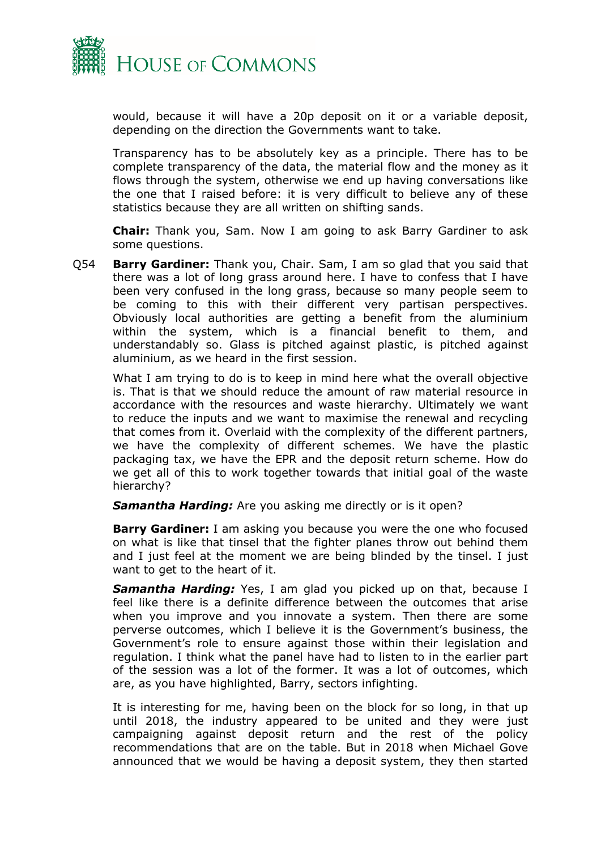

would, because it will have a 20p deposit on it or a variable deposit, depending on the direction the Governments want to take.

Transparency has to be absolutely key as a principle. There has to be complete transparency of the data, the material flow and the money as it flows through the system, otherwise we end up having conversations like the one that I raised before: it is very difficult to believe any of these statistics because they are all written on shifting sands.

**Chair:** Thank you, Sam. Now I am going to ask Barry Gardiner to ask some questions.

Q54 **Barry Gardiner:** Thank you, Chair. Sam, I am so glad that you said that there was a lot of long grass around here. I have to confess that I have been very confused in the long grass, because so many people seem to be coming to this with their different very partisan perspectives. Obviously local authorities are getting a benefit from the aluminium within the system, which is a financial benefit to them, and understandably so. Glass is pitched against plastic, is pitched against aluminium, as we heard in the first session.

What I am trying to do is to keep in mind here what the overall objective is. That is that we should reduce the amount of raw material resource in accordance with the resources and waste hierarchy. Ultimately we want to reduce the inputs and we want to maximise the renewal and recycling that comes from it. Overlaid with the complexity of the different partners, we have the complexity of different schemes. We have the plastic packaging tax, we have the EPR and the deposit return scheme. How do we get all of this to work together towards that initial goal of the waste hierarchy?

*Samantha Harding:* Are you asking me directly or is it open?

**Barry Gardiner:** I am asking you because you were the one who focused on what is like that tinsel that the fighter planes throw out behind them and I just feel at the moment we are being blinded by the tinsel. I just want to get to the heart of it.

*Samantha Harding:* Yes, I am glad you picked up on that, because I feel like there is a definite difference between the outcomes that arise when you improve and you innovate a system. Then there are some perverse outcomes, which I believe it is the Government's business, the Government's role to ensure against those within their legislation and regulation. I think what the panel have had to listen to in the earlier part of the session was a lot of the former. It was a lot of outcomes, which are, as you have highlighted, Barry, sectors infighting.

It is interesting for me, having been on the block for so long, in that up until 2018, the industry appeared to be united and they were just campaigning against deposit return and the rest of the policy recommendations that are on the table. But in 2018 when Michael Gove announced that we would be having a deposit system, they then started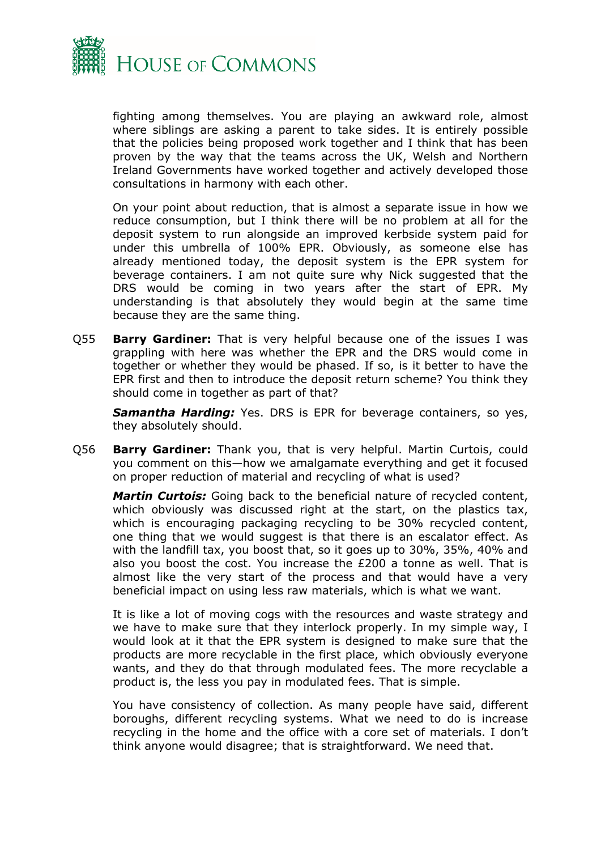

fighting among themselves. You are playing an awkward role, almost where siblings are asking a parent to take sides. It is entirely possible that the policies being proposed work together and I think that has been proven by the way that the teams across the UK, Welsh and Northern Ireland Governments have worked together and actively developed those consultations in harmony with each other.

On your point about reduction, that is almost a separate issue in how we reduce consumption, but I think there will be no problem at all for the deposit system to run alongside an improved kerbside system paid for under this umbrella of 100% EPR. Obviously, as someone else has already mentioned today, the deposit system is the EPR system for beverage containers. I am not quite sure why Nick suggested that the DRS would be coming in two years after the start of EPR. My understanding is that absolutely they would begin at the same time because they are the same thing.

Q55 **Barry Gardiner:** That is very helpful because one of the issues I was grappling with here was whether the EPR and the DRS would come in together or whether they would be phased. If so, is it better to have the EPR first and then to introduce the deposit return scheme? You think they should come in together as part of that?

*Samantha Harding:* Yes. DRS is EPR for beverage containers, so yes, they absolutely should.

Q56 **Barry Gardiner:** Thank you, that is very helpful. Martin Curtois, could you comment on this—how we amalgamate everything and get it focused on proper reduction of material and recycling of what is used?

*Martin Curtois:* Going back to the beneficial nature of recycled content, which obviously was discussed right at the start, on the plastics tax, which is encouraging packaging recycling to be 30% recycled content, one thing that we would suggest is that there is an escalator effect. As with the landfill tax, you boost that, so it goes up to 30%, 35%, 40% and also you boost the cost. You increase the £200 a tonne as well. That is almost like the very start of the process and that would have a very beneficial impact on using less raw materials, which is what we want.

It is like a lot of moving cogs with the resources and waste strategy and we have to make sure that they interlock properly. In my simple way, I would look at it that the EPR system is designed to make sure that the products are more recyclable in the first place, which obviously everyone wants, and they do that through modulated fees. The more recyclable a product is, the less you pay in modulated fees. That is simple.

You have consistency of collection. As many people have said, different boroughs, different recycling systems. What we need to do is increase recycling in the home and the office with a core set of materials. I don't think anyone would disagree; that is straightforward. We need that.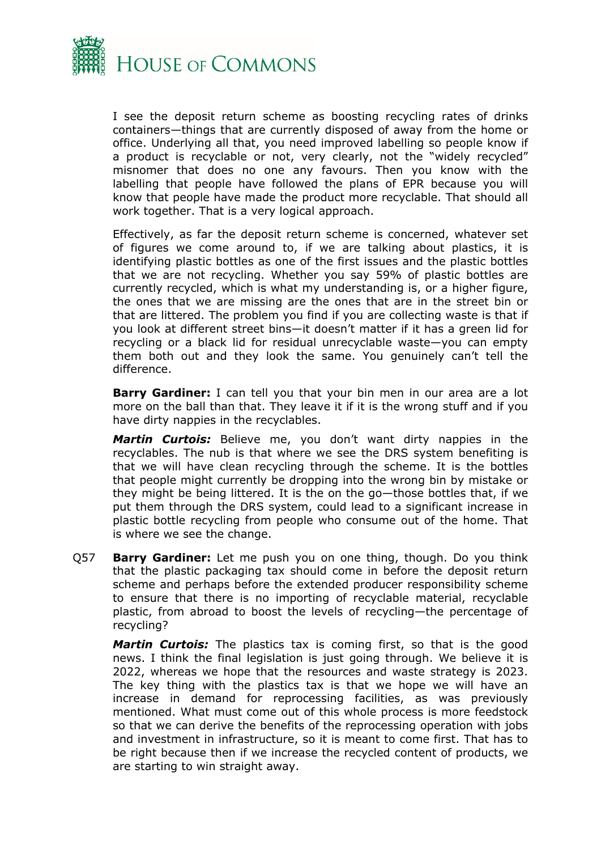

I see the deposit return scheme as boosting recycling rates of drinks containers—things that are currently disposed of away from the home or office. Underlying all that, you need improved labelling so people know if a product is recyclable or not, very clearly, not the "widely recycled" misnomer that does no one any favours. Then you know with the labelling that people have followed the plans of EPR because you will know that people have made the product more recyclable. That should all work together. That is a very logical approach.

Effectively, as far the deposit return scheme is concerned, whatever set of figures we come around to, if we are talking about plastics, it is identifying plastic bottles as one of the first issues and the plastic bottles that we are not recycling. Whether you say 59% of plastic bottles are currently recycled, which is what my understanding is, or a higher figure, the ones that we are missing are the ones that are in the street bin or that are littered. The problem you find if you are collecting waste is that if you look at different street bins—it doesn't matter if it has a green lid for recycling or a black lid for residual unrecyclable waste—you can empty them both out and they look the same. You genuinely can't tell the difference.

**Barry Gardiner:** I can tell you that your bin men in our area are a lot more on the ball than that. They leave it if it is the wrong stuff and if you have dirty nappies in the recyclables.

*Martin Curtois:* Believe me, you don't want dirty nappies in the recyclables. The nub is that where we see the DRS system benefiting is that we will have clean recycling through the scheme. It is the bottles that people might currently be dropping into the wrong bin by mistake or they might be being littered. It is the on the go—those bottles that, if we put them through the DRS system, could lead to a significant increase in plastic bottle recycling from people who consume out of the home. That is where we see the change.

Q57 **Barry Gardiner:** Let me push you on one thing, though. Do you think that the plastic packaging tax should come in before the deposit return scheme and perhaps before the extended producer responsibility scheme to ensure that there is no importing of recyclable material, recyclable plastic, from abroad to boost the levels of recycling—the percentage of recycling?

*Martin Curtois:* The plastics tax is coming first, so that is the good news. I think the final legislation is just going through. We believe it is 2022, whereas we hope that the resources and waste strategy is 2023. The key thing with the plastics tax is that we hope we will have an increase in demand for reprocessing facilities, as was previously mentioned. What must come out of this whole process is more feedstock so that we can derive the benefits of the reprocessing operation with jobs and investment in infrastructure, so it is meant to come first. That has to be right because then if we increase the recycled content of products, we are starting to win straight away.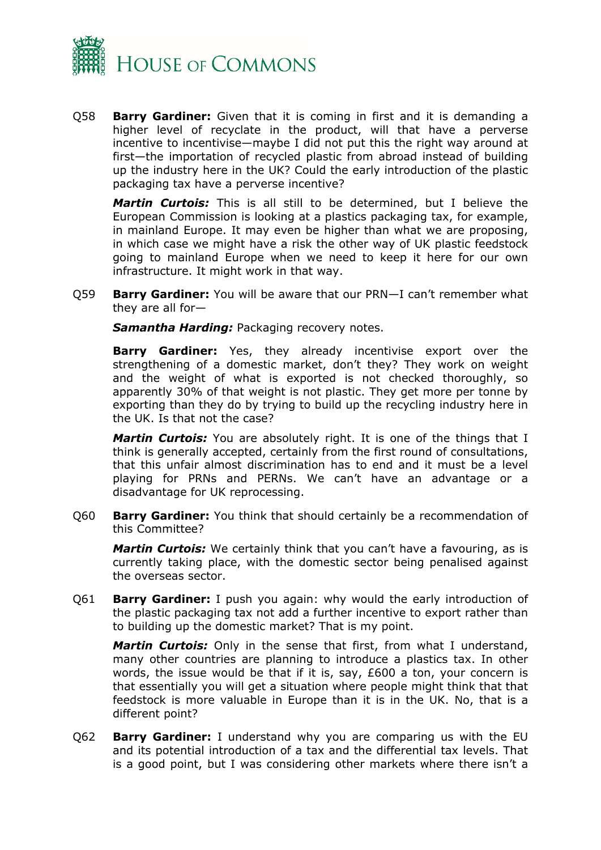

Q58 **Barry Gardiner:** Given that it is coming in first and it is demanding a higher level of recyclate in the product, will that have a perverse incentive to incentivise—maybe I did not put this the right way around at first—the importation of recycled plastic from abroad instead of building up the industry here in the UK? Could the early introduction of the plastic packaging tax have a perverse incentive?

*Martin Curtois:* This is all still to be determined, but I believe the European Commission is looking at a plastics packaging tax, for example, in mainland Europe. It may even be higher than what we are proposing, in which case we might have a risk the other way of UK plastic feedstock going to mainland Europe when we need to keep it here for our own infrastructure. It might work in that way.

Q59 **Barry Gardiner:** You will be aware that our PRN—I can't remember what they are all for—

*Samantha Harding:* Packaging recovery notes.

**Barry Gardiner:** Yes, they already incentivise export over the strengthening of a domestic market, don't they? They work on weight and the weight of what is exported is not checked thoroughly, so apparently 30% of that weight is not plastic. They get more per tonne by exporting than they do by trying to build up the recycling industry here in the UK. Is that not the case?

*Martin Curtois:* You are absolutely right. It is one of the things that I think is generally accepted, certainly from the first round of consultations, that this unfair almost discrimination has to end and it must be a level playing for PRNs and PERNs. We can't have an advantage or a disadvantage for UK reprocessing.

Q60 **Barry Gardiner:** You think that should certainly be a recommendation of this Committee?

*Martin Curtois:* We certainly think that you can't have a favouring, as is currently taking place, with the domestic sector being penalised against the overseas sector.

Q61 **Barry Gardiner:** I push you again: why would the early introduction of the plastic packaging tax not add a further incentive to export rather than to building up the domestic market? That is my point.

*Martin Curtois:* Only in the sense that first, from what I understand, many other countries are planning to introduce a plastics tax. In other words, the issue would be that if it is, say, £600 a ton, your concern is that essentially you will get a situation where people might think that that feedstock is more valuable in Europe than it is in the UK. No, that is a different point?

Q62 **Barry Gardiner:** I understand why you are comparing us with the EU and its potential introduction of a tax and the differential tax levels. That is a good point, but I was considering other markets where there isn't a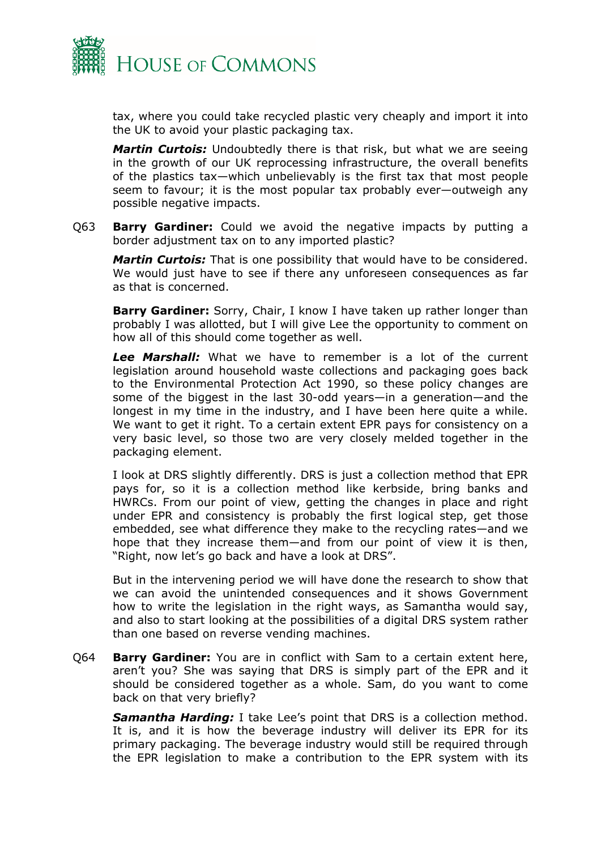

tax, where you could take recycled plastic very cheaply and import it into the UK to avoid your plastic packaging tax.

*Martin Curtois:* Undoubtedly there is that risk, but what we are seeing in the growth of our UK reprocessing infrastructure, the overall benefits of the plastics tax—which unbelievably is the first tax that most people seem to favour; it is the most popular tax probably ever—outweigh any possible negative impacts.

Q63 **Barry Gardiner:** Could we avoid the negative impacts by putting a border adjustment tax on to any imported plastic?

*Martin Curtois:* That is one possibility that would have to be considered. We would just have to see if there any unforeseen consequences as far as that is concerned.

**Barry Gardiner:** Sorry, Chair, I know I have taken up rather longer than probably I was allotted, but I will give Lee the opportunity to comment on how all of this should come together as well.

*Lee Marshall:* What we have to remember is a lot of the current legislation around household waste collections and packaging goes back to the Environmental Protection Act 1990, so these policy changes are some of the biggest in the last 30-odd years—in a generation—and the longest in my time in the industry, and I have been here quite a while. We want to get it right. To a certain extent EPR pays for consistency on a very basic level, so those two are very closely melded together in the packaging element.

I look at DRS slightly differently. DRS is just a collection method that EPR pays for, so it is a collection method like kerbside, bring banks and HWRCs. From our point of view, getting the changes in place and right under EPR and consistency is probably the first logical step, get those embedded, see what difference they make to the recycling rates—and we hope that they increase them—and from our point of view it is then, "Right, now let's go back and have a look at DRS".

But in the intervening period we will have done the research to show that we can avoid the unintended consequences and it shows Government how to write the legislation in the right ways, as Samantha would say, and also to start looking at the possibilities of a digital DRS system rather than one based on reverse vending machines.

Q64 **Barry Gardiner:** You are in conflict with Sam to a certain extent here, aren't you? She was saying that DRS is simply part of the EPR and it should be considered together as a whole. Sam, do you want to come back on that very briefly?

*Samantha Harding:* I take Lee's point that DRS is a collection method. It is, and it is how the beverage industry will deliver its EPR for its primary packaging. The beverage industry would still be required through the EPR legislation to make a contribution to the EPR system with its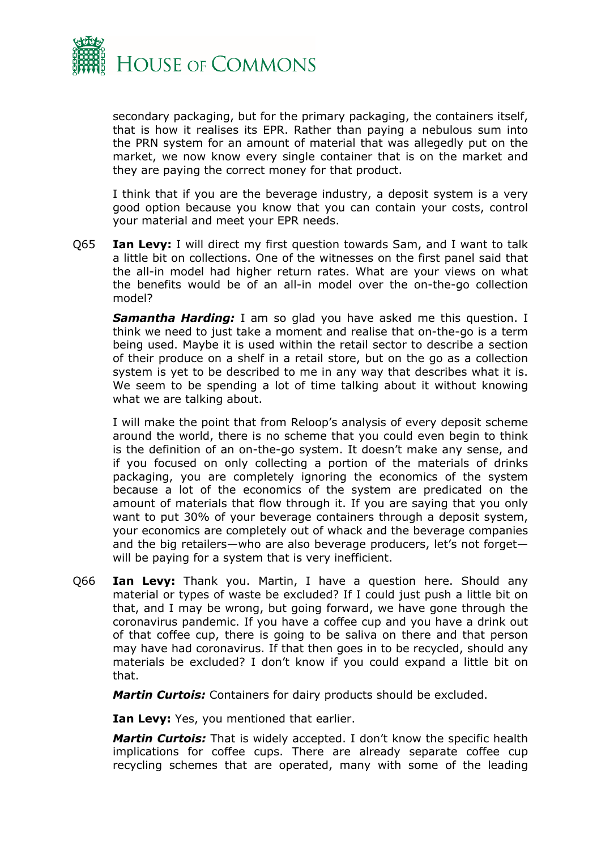

secondary packaging, but for the primary packaging, the containers itself, that is how it realises its EPR. Rather than paying a nebulous sum into the PRN system for an amount of material that was allegedly put on the market, we now know every single container that is on the market and they are paying the correct money for that product.

I think that if you are the beverage industry, a deposit system is a very good option because you know that you can contain your costs, control your material and meet your EPR needs.

Q65 **Ian Levy:** I will direct my first question towards Sam, and I want to talk a little bit on collections. One of the witnesses on the first panel said that the all-in model had higher return rates. What are your views on what the benefits would be of an all-in model over the on-the-go collection model?

*Samantha Harding:* I am so glad you have asked me this question. I think we need to just take a moment and realise that on-the-go is a term being used. Maybe it is used within the retail sector to describe a section of their produce on a shelf in a retail store, but on the go as a collection system is yet to be described to me in any way that describes what it is. We seem to be spending a lot of time talking about it without knowing what we are talking about.

I will make the point that from Reloop's analysis of every deposit scheme around the world, there is no scheme that you could even begin to think is the definition of an on-the-go system. It doesn't make any sense, and if you focused on only collecting a portion of the materials of drinks packaging, you are completely ignoring the economics of the system because a lot of the economics of the system are predicated on the amount of materials that flow through it. If you are saying that you only want to put 30% of your beverage containers through a deposit system, your economics are completely out of whack and the beverage companies and the big retailers—who are also beverage producers, let's not forget will be paying for a system that is very inefficient.

Q66 **Ian Levy:** Thank you. Martin, I have a question here. Should any material or types of waste be excluded? If I could just push a little bit on that, and I may be wrong, but going forward, we have gone through the coronavirus pandemic. If you have a coffee cup and you have a drink out of that coffee cup, there is going to be saliva on there and that person may have had coronavirus. If that then goes in to be recycled, should any materials be excluded? I don't know if you could expand a little bit on that.

*Martin Curtois:* Containers for dairy products should be excluded.

**Ian Levy:** Yes, you mentioned that earlier.

*Martin Curtois:* That is widely accepted. I don't know the specific health implications for coffee cups. There are already separate coffee cup recycling schemes that are operated, many with some of the leading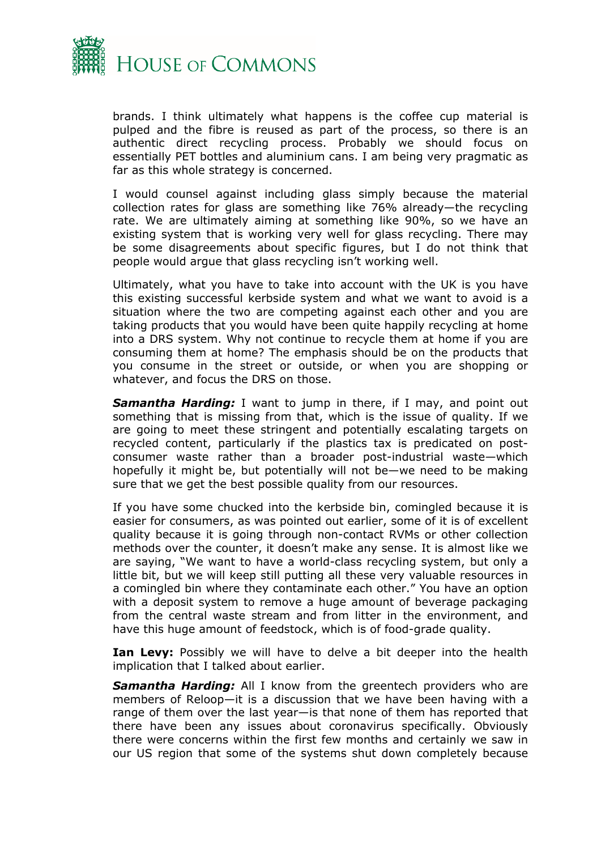

brands. I think ultimately what happens is the coffee cup material is pulped and the fibre is reused as part of the process, so there is an authentic direct recycling process. Probably we should focus on essentially PET bottles and aluminium cans. I am being very pragmatic as far as this whole strategy is concerned.

I would counsel against including glass simply because the material collection rates for glass are something like 76% already—the recycling rate. We are ultimately aiming at something like 90%, so we have an existing system that is working very well for glass recycling. There may be some disagreements about specific figures, but I do not think that people would argue that glass recycling isn't working well.

Ultimately, what you have to take into account with the UK is you have this existing successful kerbside system and what we want to avoid is a situation where the two are competing against each other and you are taking products that you would have been quite happily recycling at home into a DRS system. Why not continue to recycle them at home if you are consuming them at home? The emphasis should be on the products that you consume in the street or outside, or when you are shopping or whatever, and focus the DRS on those.

*Samantha Harding:* I want to jump in there, if I may, and point out something that is missing from that, which is the issue of quality. If we are going to meet these stringent and potentially escalating targets on recycled content, particularly if the plastics tax is predicated on postconsumer waste rather than a broader post-industrial waste—which hopefully it might be, but potentially will not be—we need to be making sure that we get the best possible quality from our resources.

If you have some chucked into the kerbside bin, comingled because it is easier for consumers, as was pointed out earlier, some of it is of excellent quality because it is going through non-contact RVMs or other collection methods over the counter, it doesn't make any sense. It is almost like we are saying, "We want to have a world-class recycling system, but only a little bit, but we will keep still putting all these very valuable resources in a comingled bin where they contaminate each other." You have an option with a deposit system to remove a huge amount of beverage packaging from the central waste stream and from litter in the environment, and have this huge amount of feedstock, which is of food-grade quality.

**Ian Levy:** Possibly we will have to delve a bit deeper into the health implication that I talked about earlier.

*Samantha Harding:* All I know from the greentech providers who are members of Reloop—it is a discussion that we have been having with a range of them over the last year—is that none of them has reported that there have been any issues about coronavirus specifically. Obviously there were concerns within the first few months and certainly we saw in our US region that some of the systems shut down completely because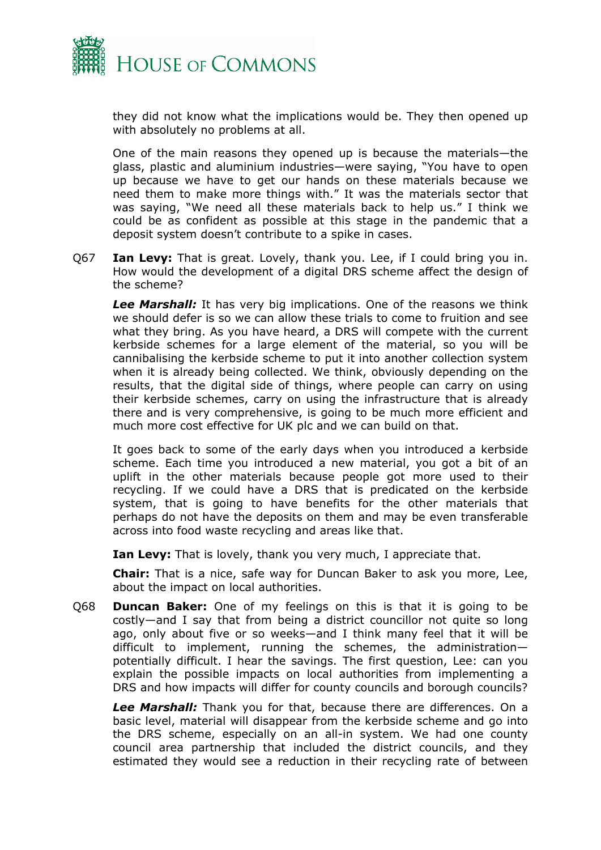

they did not know what the implications would be. They then opened up with absolutely no problems at all.

One of the main reasons they opened up is because the materials—the glass, plastic and aluminium industries—were saying, "You have to open up because we have to get our hands on these materials because we need them to make more things with." It was the materials sector that was saying, "We need all these materials back to help us." I think we could be as confident as possible at this stage in the pandemic that a deposit system doesn't contribute to a spike in cases.

Q67 **Ian Levy:** That is great. Lovely, thank you. Lee, if I could bring you in. How would the development of a digital DRS scheme affect the design of the scheme?

*Lee Marshall:* It has very big implications. One of the reasons we think we should defer is so we can allow these trials to come to fruition and see what they bring. As you have heard, a DRS will compete with the current kerbside schemes for a large element of the material, so you will be cannibalising the kerbside scheme to put it into another collection system when it is already being collected. We think, obviously depending on the results, that the digital side of things, where people can carry on using their kerbside schemes, carry on using the infrastructure that is already there and is very comprehensive, is going to be much more efficient and much more cost effective for UK plc and we can build on that.

It goes back to some of the early days when you introduced a kerbside scheme. Each time you introduced a new material, you got a bit of an uplift in the other materials because people got more used to their recycling. If we could have a DRS that is predicated on the kerbside system, that is going to have benefits for the other materials that perhaps do not have the deposits on them and may be even transferable across into food waste recycling and areas like that.

**Ian Levy:** That is lovely, thank you very much, I appreciate that.

**Chair:** That is a nice, safe way for Duncan Baker to ask you more, Lee, about the impact on local authorities.

Q68 **Duncan Baker:** One of my feelings on this is that it is going to be costly—and I say that from being a district councillor not quite so long ago, only about five or so weeks—and I think many feel that it will be difficult to implement, running the schemes, the administration potentially difficult. I hear the savings. The first question, Lee: can you explain the possible impacts on local authorities from implementing a DRS and how impacts will differ for county councils and borough councils?

*Lee Marshall:* Thank you for that, because there are differences. On a basic level, material will disappear from the kerbside scheme and go into the DRS scheme, especially on an all-in system. We had one county council area partnership that included the district councils, and they estimated they would see a reduction in their recycling rate of between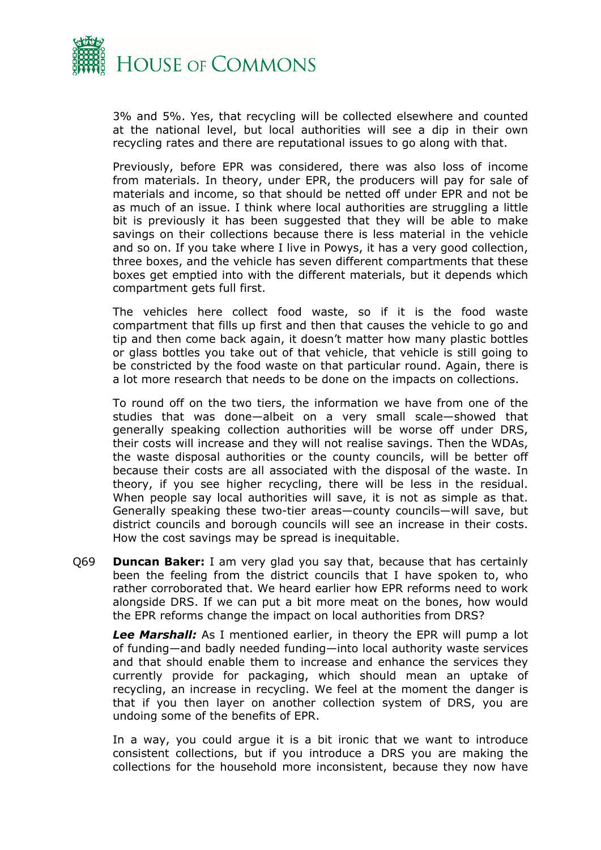

3% and 5%. Yes, that recycling will be collected elsewhere and counted at the national level, but local authorities will see a dip in their own recycling rates and there are reputational issues to go along with that.

Previously, before EPR was considered, there was also loss of income from materials. In theory, under EPR, the producers will pay for sale of materials and income, so that should be netted off under EPR and not be as much of an issue. I think where local authorities are struggling a little bit is previously it has been suggested that they will be able to make savings on their collections because there is less material in the vehicle and so on. If you take where I live in Powys, it has a very good collection, three boxes, and the vehicle has seven different compartments that these boxes get emptied into with the different materials, but it depends which compartment gets full first.

The vehicles here collect food waste, so if it is the food waste compartment that fills up first and then that causes the vehicle to go and tip and then come back again, it doesn't matter how many plastic bottles or glass bottles you take out of that vehicle, that vehicle is still going to be constricted by the food waste on that particular round. Again, there is a lot more research that needs to be done on the impacts on collections.

To round off on the two tiers, the information we have from one of the studies that was done—albeit on a very small scale—showed that generally speaking collection authorities will be worse off under DRS, their costs will increase and they will not realise savings. Then the WDAs, the waste disposal authorities or the county councils, will be better off because their costs are all associated with the disposal of the waste. In theory, if you see higher recycling, there will be less in the residual. When people say local authorities will save, it is not as simple as that. Generally speaking these two-tier areas—county councils—will save, but district councils and borough councils will see an increase in their costs. How the cost savings may be spread is inequitable.

Q69 **Duncan Baker:** I am very glad you say that, because that has certainly been the feeling from the district councils that I have spoken to, who rather corroborated that. We heard earlier how EPR reforms need to work alongside DRS. If we can put a bit more meat on the bones, how would the EPR reforms change the impact on local authorities from DRS?

*Lee Marshall:* As I mentioned earlier, in theory the EPR will pump a lot of funding—and badly needed funding—into local authority waste services and that should enable them to increase and enhance the services they currently provide for packaging, which should mean an uptake of recycling, an increase in recycling. We feel at the moment the danger is that if you then layer on another collection system of DRS, you are undoing some of the benefits of EPR.

In a way, you could argue it is a bit ironic that we want to introduce consistent collections, but if you introduce a DRS you are making the collections for the household more inconsistent, because they now have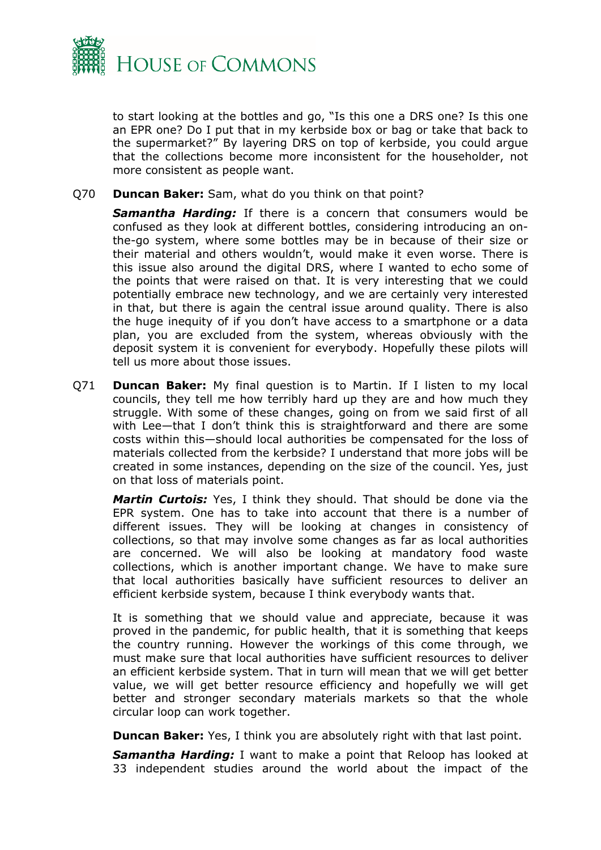

to start looking at the bottles and go, "Is this one a DRS one? Is this one an EPR one? Do I put that in my kerbside box or bag or take that back to the supermarket?" By layering DRS on top of kerbside, you could argue that the collections become more inconsistent for the householder, not more consistent as people want.

Q70 **Duncan Baker:** Sam, what do you think on that point?

*Samantha Harding:* If there is a concern that consumers would be confused as they look at different bottles, considering introducing an onthe-go system, where some bottles may be in because of their size or their material and others wouldn't, would make it even worse. There is this issue also around the digital DRS, where I wanted to echo some of the points that were raised on that. It is very interesting that we could potentially embrace new technology, and we are certainly very interested in that, but there is again the central issue around quality. There is also the huge inequity of if you don't have access to a smartphone or a data plan, you are excluded from the system, whereas obviously with the deposit system it is convenient for everybody. Hopefully these pilots will tell us more about those issues.

Q71 **Duncan Baker:** My final question is to Martin. If I listen to my local councils, they tell me how terribly hard up they are and how much they struggle. With some of these changes, going on from we said first of all with Lee—that I don't think this is straightforward and there are some costs within this—should local authorities be compensated for the loss of materials collected from the kerbside? I understand that more jobs will be created in some instances, depending on the size of the council. Yes, just on that loss of materials point.

*Martin Curtois:* Yes, I think they should. That should be done via the EPR system. One has to take into account that there is a number of different issues. They will be looking at changes in consistency of collections, so that may involve some changes as far as local authorities are concerned. We will also be looking at mandatory food waste collections, which is another important change. We have to make sure that local authorities basically have sufficient resources to deliver an efficient kerbside system, because I think everybody wants that.

It is something that we should value and appreciate, because it was proved in the pandemic, for public health, that it is something that keeps the country running. However the workings of this come through, we must make sure that local authorities have sufficient resources to deliver an efficient kerbside system. That in turn will mean that we will get better value, we will get better resource efficiency and hopefully we will get better and stronger secondary materials markets so that the whole circular loop can work together.

**Duncan Baker:** Yes, I think you are absolutely right with that last point.

*Samantha Harding:* I want to make a point that Reloop has looked at 33 independent studies around the world about the impact of the